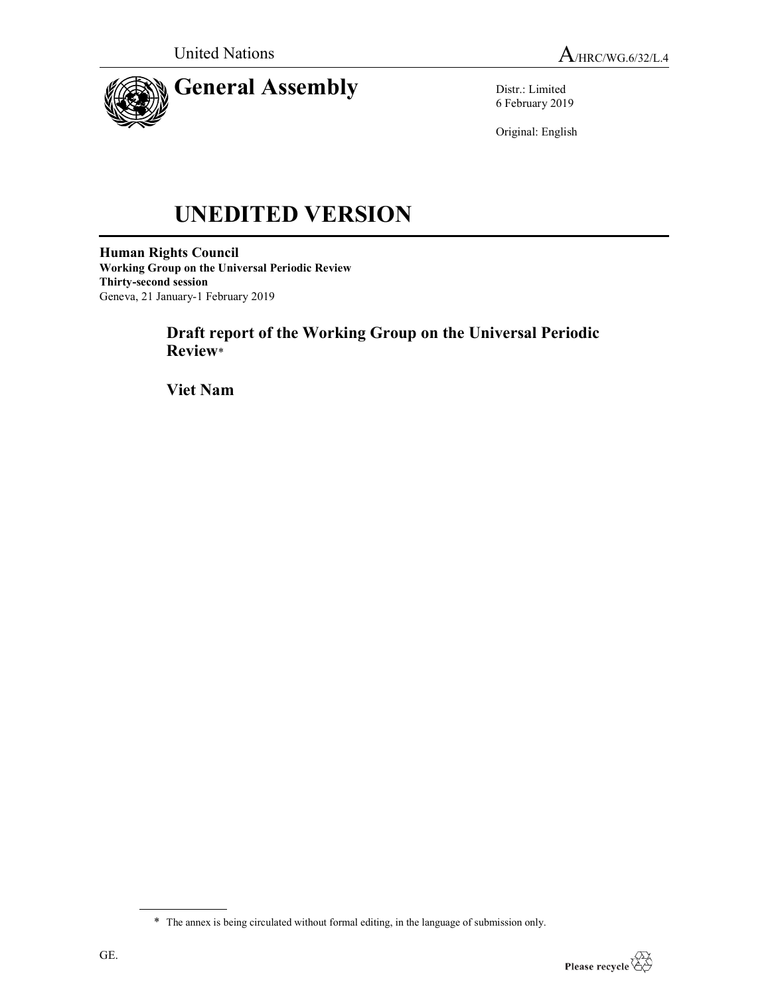

Distr.: Limited 6 February 2019

Original: English

# UNEDITED VERSION

Human Rights Council Working Group on the Universal Periodic Review Thirty-second session Geneva, 21 January-1 February 2019

# Draft report of the Working Group on the Universal Periodic Review\*

Viet Nam

<sup>\*</sup> The annex is being circulated without formal editing, in the language of submission only.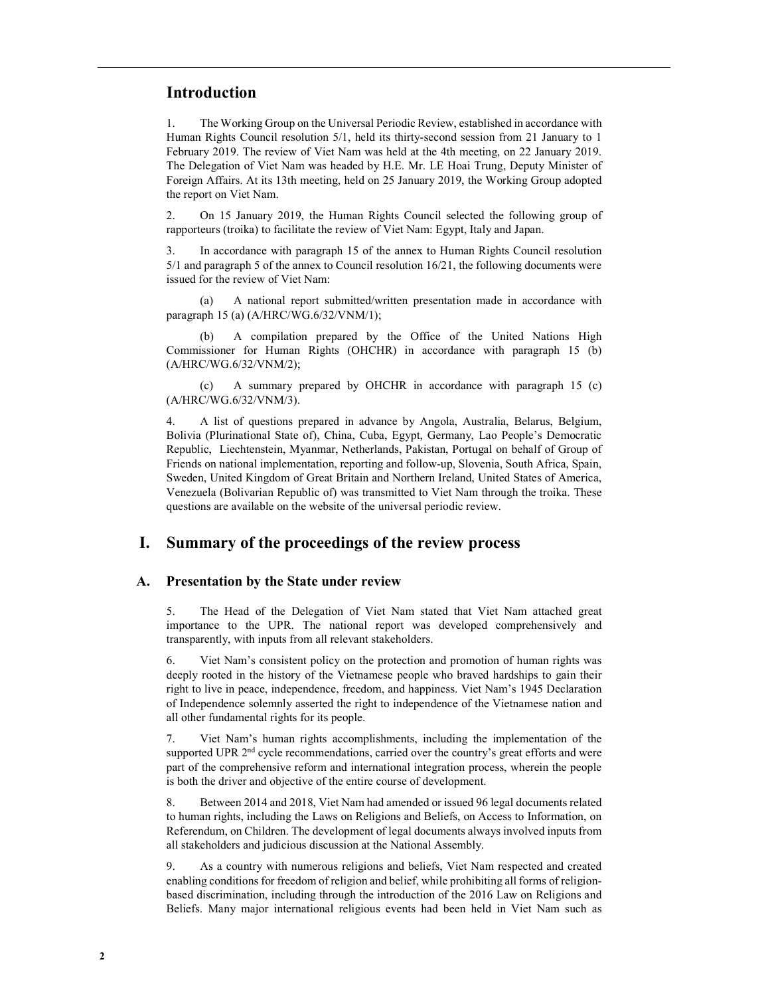## Introduction

1. The Working Group on the Universal Periodic Review, established in accordance with Human Rights Council resolution 5/1, held its thirty-second session from 21 January to 1 February 2019. The review of Viet Nam was held at the 4th meeting, on 22 January 2019. The Delegation of Viet Nam was headed by H.E. Mr. LE Hoai Trung, Deputy Minister of Foreign Affairs. At its 13th meeting, held on 25 January 2019, the Working Group adopted the report on Viet Nam.

2. On 15 January 2019, the Human Rights Council selected the following group of rapporteurs (troika) to facilitate the review of Viet Nam: Egypt, Italy and Japan.

3. In accordance with paragraph 15 of the annex to Human Rights Council resolution 5/1 and paragraph 5 of the annex to Council resolution 16/21, the following documents were issued for the review of Viet Nam:

 (a) A national report submitted/written presentation made in accordance with paragraph 15 (a) (A/HRC/WG.6/32/VNM/1);

 (b) A compilation prepared by the Office of the United Nations High Commissioner for Human Rights (OHCHR) in accordance with paragraph 15 (b) (A/HRC/WG.6/32/VNM/2);

 (c) A summary prepared by OHCHR in accordance with paragraph 15 (c) (A/HRC/WG.6/32/VNM/3).

4. A list of questions prepared in advance by Angola, Australia, Belarus, Belgium, Bolivia (Plurinational State of), China, Cuba, Egypt, Germany, Lao People's Democratic Republic, Liechtenstein, Myanmar, Netherlands, Pakistan, Portugal on behalf of Group of Friends on national implementation, reporting and follow-up, Slovenia, South Africa, Spain, Sweden, United Kingdom of Great Britain and Northern Ireland, United States of America, Venezuela (Bolivarian Republic of) was transmitted to Viet Nam through the troika. These questions are available on the website of the universal periodic review.

# I. Summary of the proceedings of the review process

#### A. Presentation by the State under review

5. The Head of the Delegation of Viet Nam stated that Viet Nam attached great importance to the UPR. The national report was developed comprehensively and transparently, with inputs from all relevant stakeholders.

6. Viet Nam's consistent policy on the protection and promotion of human rights was deeply rooted in the history of the Vietnamese people who braved hardships to gain their right to live in peace, independence, freedom, and happiness. Viet Nam's 1945 Declaration of Independence solemnly asserted the right to independence of the Vietnamese nation and all other fundamental rights for its people.

7. Viet Nam's human rights accomplishments, including the implementation of the supported UPR  $2<sup>nd</sup>$  cycle recommendations, carried over the country's great efforts and were part of the comprehensive reform and international integration process, wherein the people is both the driver and objective of the entire course of development.

8. Between 2014 and 2018, Viet Nam had amended or issued 96 legal documents related to human rights, including the Laws on Religions and Beliefs, on Access to Information, on Referendum, on Children. The development of legal documents always involved inputs from all stakeholders and judicious discussion at the National Assembly.

9. As a country with numerous religions and beliefs, Viet Nam respected and created enabling conditions for freedom of religion and belief, while prohibiting all forms of religionbased discrimination, including through the introduction of the 2016 Law on Religions and Beliefs. Many major international religious events had been held in Viet Nam such as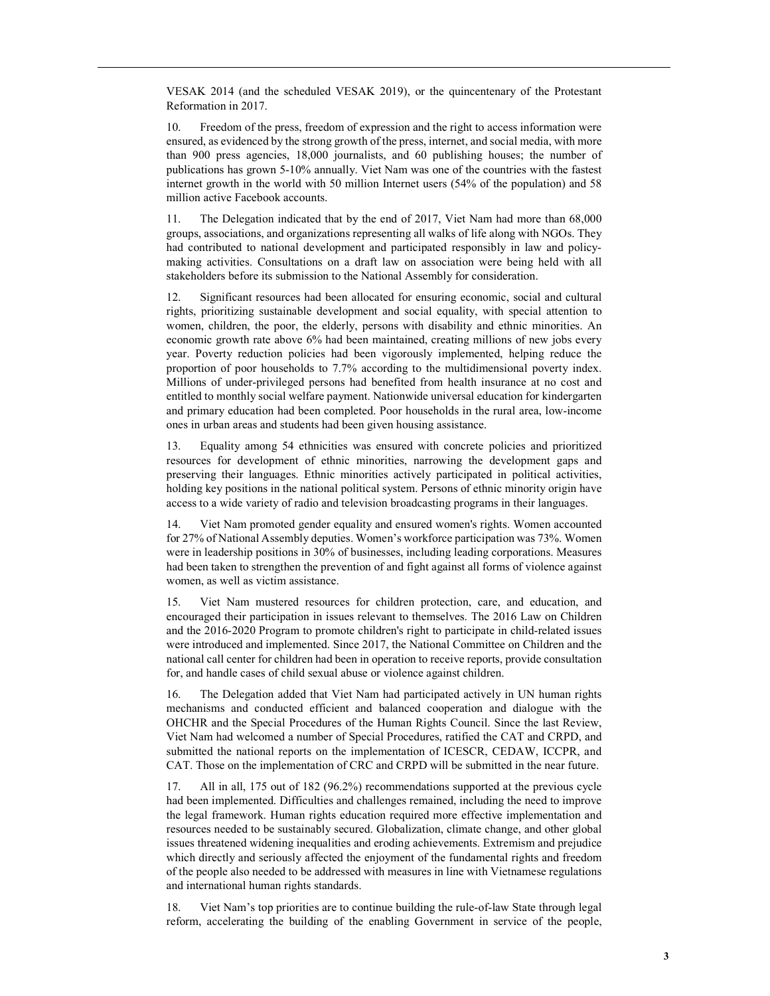VESAK 2014 (and the scheduled VESAK 2019), or the quincentenary of the Protestant Reformation in 2017.

10. Freedom of the press, freedom of expression and the right to access information were ensured, as evidenced by the strong growth of the press, internet, and social media, with more than 900 press agencies, 18,000 journalists, and 60 publishing houses; the number of publications has grown 5-10% annually. Viet Nam was one of the countries with the fastest internet growth in the world with 50 million Internet users (54% of the population) and 58 million active Facebook accounts.

11. The Delegation indicated that by the end of 2017, Viet Nam had more than 68,000 groups, associations, and organizations representing all walks of life along with NGOs. They had contributed to national development and participated responsibly in law and policymaking activities. Consultations on a draft law on association were being held with all stakeholders before its submission to the National Assembly for consideration.

12. Significant resources had been allocated for ensuring economic, social and cultural rights, prioritizing sustainable development and social equality, with special attention to women, children, the poor, the elderly, persons with disability and ethnic minorities. An economic growth rate above 6% had been maintained, creating millions of new jobs every year. Poverty reduction policies had been vigorously implemented, helping reduce the proportion of poor households to 7.7% according to the multidimensional poverty index. Millions of under-privileged persons had benefited from health insurance at no cost and entitled to monthly social welfare payment. Nationwide universal education for kindergarten and primary education had been completed. Poor households in the rural area, low-income ones in urban areas and students had been given housing assistance.

13. Equality among 54 ethnicities was ensured with concrete policies and prioritized resources for development of ethnic minorities, narrowing the development gaps and preserving their languages. Ethnic minorities actively participated in political activities, holding key positions in the national political system. Persons of ethnic minority origin have access to a wide variety of radio and television broadcasting programs in their languages.

14. Viet Nam promoted gender equality and ensured women's rights. Women accounted for 27% of National Assembly deputies. Women's workforce participation was 73%. Women were in leadership positions in 30% of businesses, including leading corporations. Measures had been taken to strengthen the prevention of and fight against all forms of violence against women, as well as victim assistance.

15. Viet Nam mustered resources for children protection, care, and education, and encouraged their participation in issues relevant to themselves. The 2016 Law on Children and the 2016-2020 Program to promote children's right to participate in child-related issues were introduced and implemented. Since 2017, the National Committee on Children and the national call center for children had been in operation to receive reports, provide consultation for, and handle cases of child sexual abuse or violence against children.

16. The Delegation added that Viet Nam had participated actively in UN human rights mechanisms and conducted efficient and balanced cooperation and dialogue with the OHCHR and the Special Procedures of the Human Rights Council. Since the last Review, Viet Nam had welcomed a number of Special Procedures, ratified the CAT and CRPD, and submitted the national reports on the implementation of ICESCR, CEDAW, ICCPR, and CAT. Those on the implementation of CRC and CRPD will be submitted in the near future.

17. All in all, 175 out of 182 (96.2%) recommendations supported at the previous cycle had been implemented. Difficulties and challenges remained, including the need to improve the legal framework. Human rights education required more effective implementation and resources needed to be sustainably secured. Globalization, climate change, and other global issues threatened widening inequalities and eroding achievements. Extremism and prejudice which directly and seriously affected the enjoyment of the fundamental rights and freedom of the people also needed to be addressed with measures in line with Vietnamese regulations and international human rights standards.

18. Viet Nam's top priorities are to continue building the rule-of-law State through legal reform, accelerating the building of the enabling Government in service of the people,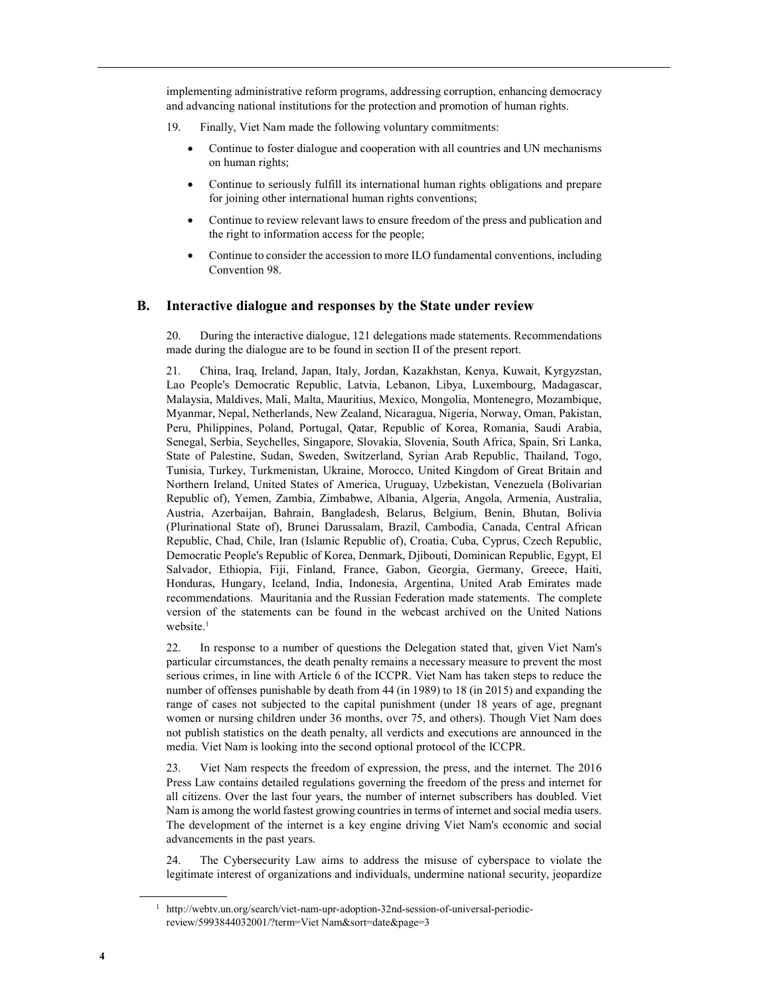implementing administrative reform programs, addressing corruption, enhancing democracy and advancing national institutions for the protection and promotion of human rights.

- 19. Finally, Viet Nam made the following voluntary commitments:
	- Continue to foster dialogue and cooperation with all countries and UN mechanisms on human rights;
	- Continue to seriously fulfill its international human rights obligations and prepare for joining other international human rights conventions;
	- Continue to review relevant laws to ensure freedom of the press and publication and the right to information access for the people;
	- Continue to consider the accession to more ILO fundamental conventions, including Convention 98.

#### B. Interactive dialogue and responses by the State under review

20. During the interactive dialogue, 121 delegations made statements. Recommendations made during the dialogue are to be found in section II of the present report.

21. China, Iraq, Ireland, Japan, Italy, Jordan, Kazakhstan, Kenya, Kuwait, Kyrgyzstan, Lao People's Democratic Republic, Latvia, Lebanon, Libya, Luxembourg, Madagascar, Malaysia, Maldives, Mali, Malta, Mauritius, Mexico, Mongolia, Montenegro, Mozambique, Myanmar, Nepal, Netherlands, New Zealand, Nicaragua, Nigeria, Norway, Oman, Pakistan, Peru, Philippines, Poland, Portugal, Qatar, Republic of Korea, Romania, Saudi Arabia, Senegal, Serbia, Seychelles, Singapore, Slovakia, Slovenia, South Africa, Spain, Sri Lanka, State of Palestine, Sudan, Sweden, Switzerland, Syrian Arab Republic, Thailand, Togo, Tunisia, Turkey, Turkmenistan, Ukraine, Morocco, United Kingdom of Great Britain and Northern Ireland, United States of America, Uruguay, Uzbekistan, Venezuela (Bolivarian Republic of), Yemen, Zambia, Zimbabwe, Albania, Algeria, Angola, Armenia, Australia, Austria, Azerbaijan, Bahrain, Bangladesh, Belarus, Belgium, Benin, Bhutan, Bolivia (Plurinational State of), Brunei Darussalam, Brazil, Cambodia, Canada, Central African Republic, Chad, Chile, Iran (Islamic Republic of), Croatia, Cuba, Cyprus, Czech Republic, Democratic People's Republic of Korea, Denmark, Djibouti, Dominican Republic, Egypt, El Salvador, Ethiopia, Fiji, Finland, France, Gabon, Georgia, Germany, Greece, Haiti, Honduras, Hungary, Iceland, India, Indonesia, Argentina, United Arab Emirates made recommendations. Mauritania and the Russian Federation made statements. The complete version of the statements can be found in the webcast archived on the United Nations website.<sup>1</sup>

22. In response to a number of questions the Delegation stated that, given Viet Nam's particular circumstances, the death penalty remains a necessary measure to prevent the most serious crimes, in line with Article 6 of the ICCPR. Viet Nam has taken steps to reduce the number of offenses punishable by death from 44 (in 1989) to 18 (in 2015) and expanding the range of cases not subjected to the capital punishment (under 18 years of age, pregnant women or nursing children under 36 months, over 75, and others). Though Viet Nam does not publish statistics on the death penalty, all verdicts and executions are announced in the media. Viet Nam is looking into the second optional protocol of the ICCPR.

23. Viet Nam respects the freedom of expression, the press, and the internet. The 2016 Press Law contains detailed regulations governing the freedom of the press and internet for all citizens. Over the last four years, the number of internet subscribers has doubled. Viet Nam is among the world fastest growing countries in terms of internet and social media users. The development of the internet is a key engine driving Viet Nam's economic and social advancements in the past years.

24. The Cybersecurity Law aims to address the misuse of cyberspace to violate the legitimate interest of organizations and individuals, undermine national security, jeopardize

<sup>&</sup>lt;sup>1</sup> http://webtv.un.org/search/viet-nam-upr-adoption-32nd-session-of-universal-periodicreview/5993844032001/?term=Viet Nam&sort=date&page=3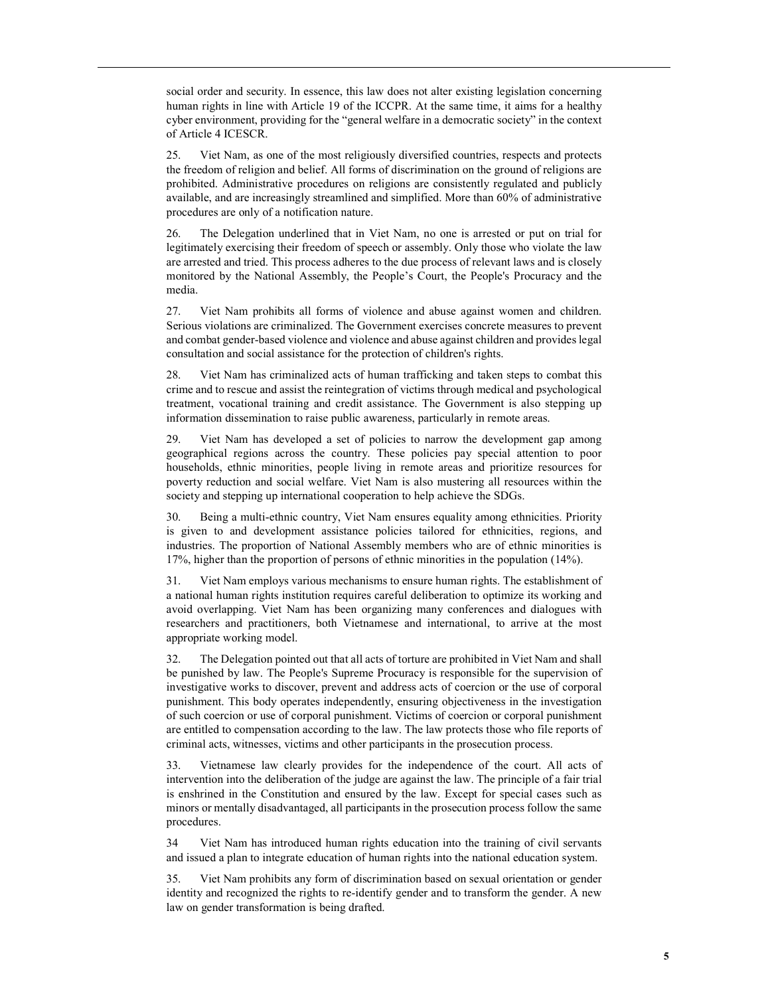social order and security. In essence, this law does not alter existing legislation concerning human rights in line with Article 19 of the ICCPR. At the same time, it aims for a healthy cyber environment, providing for the "general welfare in a democratic society" in the context of Article 4 ICESCR.

25. Viet Nam, as one of the most religiously diversified countries, respects and protects the freedom of religion and belief. All forms of discrimination on the ground of religions are prohibited. Administrative procedures on religions are consistently regulated and publicly available, and are increasingly streamlined and simplified. More than 60% of administrative procedures are only of a notification nature.

26. The Delegation underlined that in Viet Nam, no one is arrested or put on trial for legitimately exercising their freedom of speech or assembly. Only those who violate the law are arrested and tried. This process adheres to the due process of relevant laws and is closely monitored by the National Assembly, the People's Court, the People's Procuracy and the media.

27. Viet Nam prohibits all forms of violence and abuse against women and children. Serious violations are criminalized. The Government exercises concrete measures to prevent and combat gender-based violence and violence and abuse against children and provides legal consultation and social assistance for the protection of children's rights.

28. Viet Nam has criminalized acts of human trafficking and taken steps to combat this crime and to rescue and assist the reintegration of victims through medical and psychological treatment, vocational training and credit assistance. The Government is also stepping up information dissemination to raise public awareness, particularly in remote areas.

29. Viet Nam has developed a set of policies to narrow the development gap among geographical regions across the country. These policies pay special attention to poor households, ethnic minorities, people living in remote areas and prioritize resources for poverty reduction and social welfare. Viet Nam is also mustering all resources within the society and stepping up international cooperation to help achieve the SDGs.

30. Being a multi-ethnic country, Viet Nam ensures equality among ethnicities. Priority is given to and development assistance policies tailored for ethnicities, regions, and industries. The proportion of National Assembly members who are of ethnic minorities is 17%, higher than the proportion of persons of ethnic minorities in the population (14%).

31. Viet Nam employs various mechanisms to ensure human rights. The establishment of a national human rights institution requires careful deliberation to optimize its working and avoid overlapping. Viet Nam has been organizing many conferences and dialogues with researchers and practitioners, both Vietnamese and international, to arrive at the most appropriate working model.

32. The Delegation pointed out that all acts of torture are prohibited in Viet Nam and shall be punished by law. The People's Supreme Procuracy is responsible for the supervision of investigative works to discover, prevent and address acts of coercion or the use of corporal punishment. This body operates independently, ensuring objectiveness in the investigation of such coercion or use of corporal punishment. Victims of coercion or corporal punishment are entitled to compensation according to the law. The law protects those who file reports of criminal acts, witnesses, victims and other participants in the prosecution process.

33. Vietnamese law clearly provides for the independence of the court. All acts of intervention into the deliberation of the judge are against the law. The principle of a fair trial is enshrined in the Constitution and ensured by the law. Except for special cases such as minors or mentally disadvantaged, all participants in the prosecution process follow the same procedures.

34 Viet Nam has introduced human rights education into the training of civil servants and issued a plan to integrate education of human rights into the national education system.

35. Viet Nam prohibits any form of discrimination based on sexual orientation or gender identity and recognized the rights to re-identify gender and to transform the gender. A new law on gender transformation is being drafted.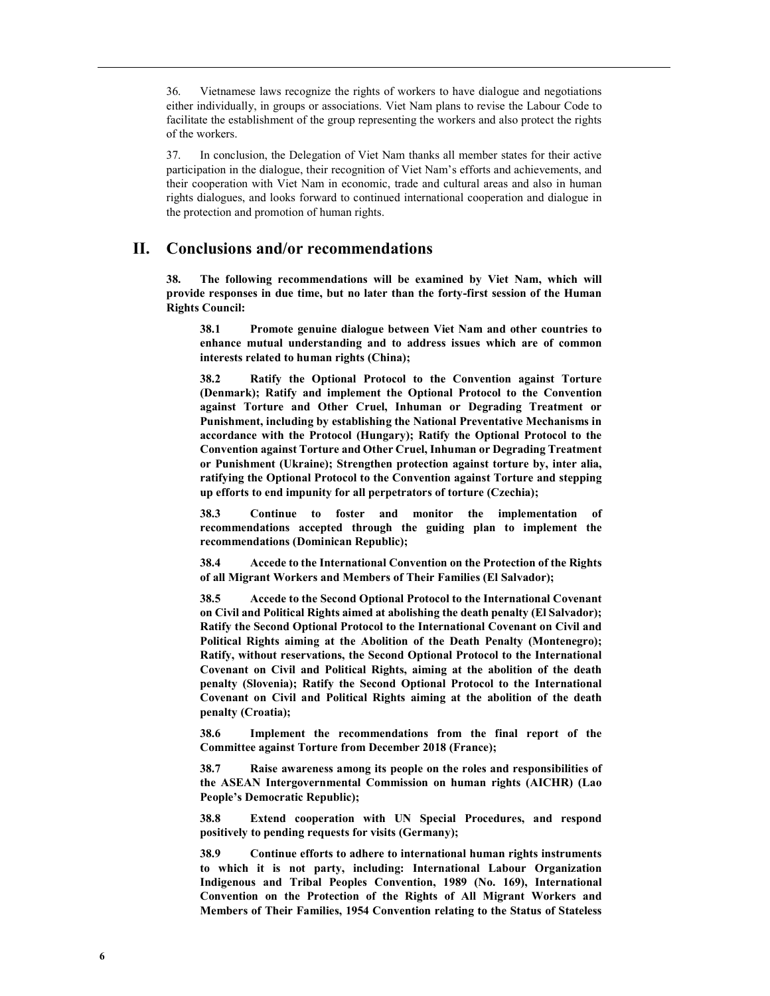36. Vietnamese laws recognize the rights of workers to have dialogue and negotiations either individually, in groups or associations. Viet Nam plans to revise the Labour Code to facilitate the establishment of the group representing the workers and also protect the rights of the workers.

37. In conclusion, the Delegation of Viet Nam thanks all member states for their active participation in the dialogue, their recognition of Viet Nam's efforts and achievements, and their cooperation with Viet Nam in economic, trade and cultural areas and also in human rights dialogues, and looks forward to continued international cooperation and dialogue in the protection and promotion of human rights.

# II. Conclusions and/or recommendations

38. The following recommendations will be examined by Viet Nam, which will provide responses in due time, but no later than the forty-first session of the Human Rights Council:

38.1 Promote genuine dialogue between Viet Nam and other countries to enhance mutual understanding and to address issues which are of common interests related to human rights (China);

38.2 Ratify the Optional Protocol to the Convention against Torture (Denmark); Ratify and implement the Optional Protocol to the Convention against Torture and Other Cruel, Inhuman or Degrading Treatment or Punishment, including by establishing the National Preventative Mechanisms in accordance with the Protocol (Hungary); Ratify the Optional Protocol to the Convention against Torture and Other Cruel, Inhuman or Degrading Treatment or Punishment (Ukraine); Strengthen protection against torture by, inter alia, ratifying the Optional Protocol to the Convention against Torture and stepping up efforts to end impunity for all perpetrators of torture (Czechia);

38.3 Continue to foster and monitor the implementation of recommendations accepted through the guiding plan to implement the recommendations (Dominican Republic);

38.4 Accede to the International Convention on the Protection of the Rights of all Migrant Workers and Members of Their Families (El Salvador);

38.5 Accede to the Second Optional Protocol to the International Covenant on Civil and Political Rights aimed at abolishing the death penalty (El Salvador); Ratify the Second Optional Protocol to the International Covenant on Civil and Political Rights aiming at the Abolition of the Death Penalty (Montenegro); Ratify, without reservations, the Second Optional Protocol to the International Covenant on Civil and Political Rights, aiming at the abolition of the death penalty (Slovenia); Ratify the Second Optional Protocol to the International Covenant on Civil and Political Rights aiming at the abolition of the death penalty (Croatia);

38.6 Implement the recommendations from the final report of the Committee against Torture from December 2018 (France);

38.7 Raise awareness among its people on the roles and responsibilities of the ASEAN Intergovernmental Commission on human rights (AICHR) (Lao People's Democratic Republic);

38.8 Extend cooperation with UN Special Procedures, and respond positively to pending requests for visits (Germany);

38.9 Continue efforts to adhere to international human rights instruments to which it is not party, including: International Labour Organization Indigenous and Tribal Peoples Convention, 1989 (No. 169), International Convention on the Protection of the Rights of All Migrant Workers and Members of Their Families, 1954 Convention relating to the Status of Stateless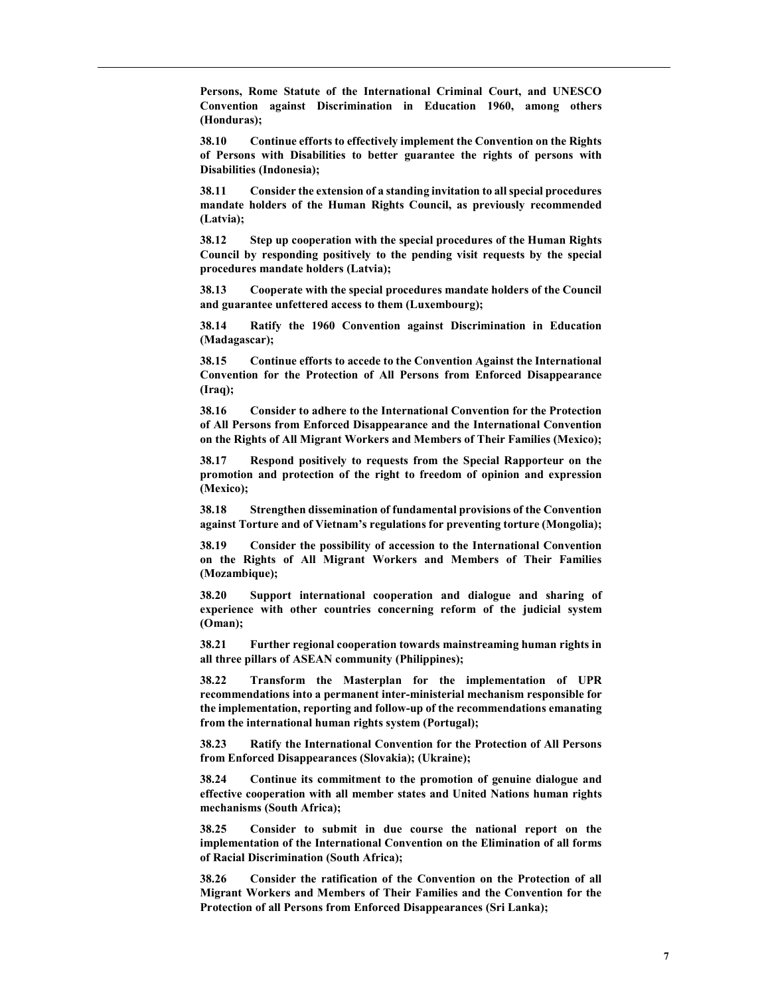Persons, Rome Statute of the International Criminal Court, and UNESCO Convention against Discrimination in Education 1960, among others (Honduras);

38.10 Continue efforts to effectively implement the Convention on the Rights of Persons with Disabilities to better guarantee the rights of persons with Disabilities (Indonesia);

38.11 Consider the extension of a standing invitation to all special procedures mandate holders of the Human Rights Council, as previously recommended (Latvia);

38.12 Step up cooperation with the special procedures of the Human Rights Council by responding positively to the pending visit requests by the special procedures mandate holders (Latvia);

38.13 Cooperate with the special procedures mandate holders of the Council and guarantee unfettered access to them (Luxembourg);

38.14 Ratify the 1960 Convention against Discrimination in Education (Madagascar);

38.15 Continue efforts to accede to the Convention Against the International Convention for the Protection of All Persons from Enforced Disappearance (Iraq);

38.16 Consider to adhere to the International Convention for the Protection of All Persons from Enforced Disappearance and the International Convention on the Rights of All Migrant Workers and Members of Their Families (Mexico);

38.17 Respond positively to requests from the Special Rapporteur on the promotion and protection of the right to freedom of opinion and expression (Mexico);

38.18 Strengthen dissemination of fundamental provisions of the Convention against Torture and of Vietnam's regulations for preventing torture (Mongolia);

38.19 Consider the possibility of accession to the International Convention on the Rights of All Migrant Workers and Members of Their Families (Mozambique);

38.20 Support international cooperation and dialogue and sharing of experience with other countries concerning reform of the judicial system (Oman);

38.21 Further regional cooperation towards mainstreaming human rights in all three pillars of ASEAN community (Philippines);

38.22 Transform the Masterplan for the implementation of UPR recommendations into a permanent inter-ministerial mechanism responsible for the implementation, reporting and follow-up of the recommendations emanating from the international human rights system (Portugal);

38.23 Ratify the International Convention for the Protection of All Persons from Enforced Disappearances (Slovakia); (Ukraine);

38.24 Continue its commitment to the promotion of genuine dialogue and effective cooperation with all member states and United Nations human rights mechanisms (South Africa);

38.25 Consider to submit in due course the national report on the implementation of the International Convention on the Elimination of all forms of Racial Discrimination (South Africa);

38.26 Consider the ratification of the Convention on the Protection of all Migrant Workers and Members of Their Families and the Convention for the Protection of all Persons from Enforced Disappearances (Sri Lanka);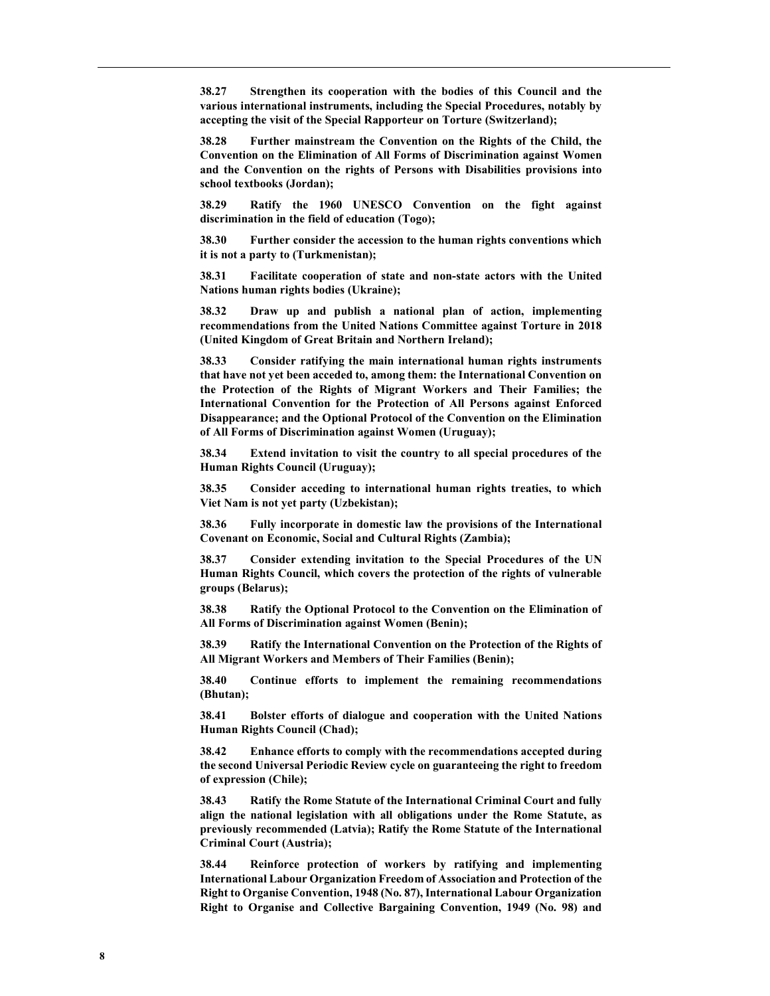38.27 Strengthen its cooperation with the bodies of this Council and the various international instruments, including the Special Procedures, notably by accepting the visit of the Special Rapporteur on Torture (Switzerland);

38.28 Further mainstream the Convention on the Rights of the Child, the Convention on the Elimination of All Forms of Discrimination against Women and the Convention on the rights of Persons with Disabilities provisions into school textbooks (Jordan);

38.29 Ratify the 1960 UNESCO Convention on the fight against discrimination in the field of education (Togo);

38.30 Further consider the accession to the human rights conventions which it is not a party to (Turkmenistan);

38.31 Facilitate cooperation of state and non-state actors with the United Nations human rights bodies (Ukraine);

38.32 Draw up and publish a national plan of action, implementing recommendations from the United Nations Committee against Torture in 2018 (United Kingdom of Great Britain and Northern Ireland);

38.33 Consider ratifying the main international human rights instruments that have not yet been acceded to, among them: the International Convention on the Protection of the Rights of Migrant Workers and Their Families; the International Convention for the Protection of All Persons against Enforced Disappearance; and the Optional Protocol of the Convention on the Elimination of All Forms of Discrimination against Women (Uruguay);

38.34 Extend invitation to visit the country to all special procedures of the Human Rights Council (Uruguay);

38.35 Consider acceding to international human rights treaties, to which Viet Nam is not yet party (Uzbekistan);

38.36 Fully incorporate in domestic law the provisions of the International Covenant on Economic, Social and Cultural Rights (Zambia);

38.37 Consider extending invitation to the Special Procedures of the UN Human Rights Council, which covers the protection of the rights of vulnerable groups (Belarus);

38.38 Ratify the Optional Protocol to the Convention on the Elimination of All Forms of Discrimination against Women (Benin);

38.39 Ratify the International Convention on the Protection of the Rights of All Migrant Workers and Members of Their Families (Benin);

38.40 Continue efforts to implement the remaining recommendations (Bhutan);

38.41 Bolster efforts of dialogue and cooperation with the United Nations Human Rights Council (Chad);

38.42 Enhance efforts to comply with the recommendations accepted during the second Universal Periodic Review cycle on guaranteeing the right to freedom of expression (Chile);

38.43 Ratify the Rome Statute of the International Criminal Court and fully align the national legislation with all obligations under the Rome Statute, as previously recommended (Latvia); Ratify the Rome Statute of the International Criminal Court (Austria);

38.44 Reinforce protection of workers by ratifying and implementing International Labour Organization Freedom of Association and Protection of the Right to Organise Convention, 1948 (No. 87), International Labour Organization Right to Organise and Collective Bargaining Convention, 1949 (No. 98) and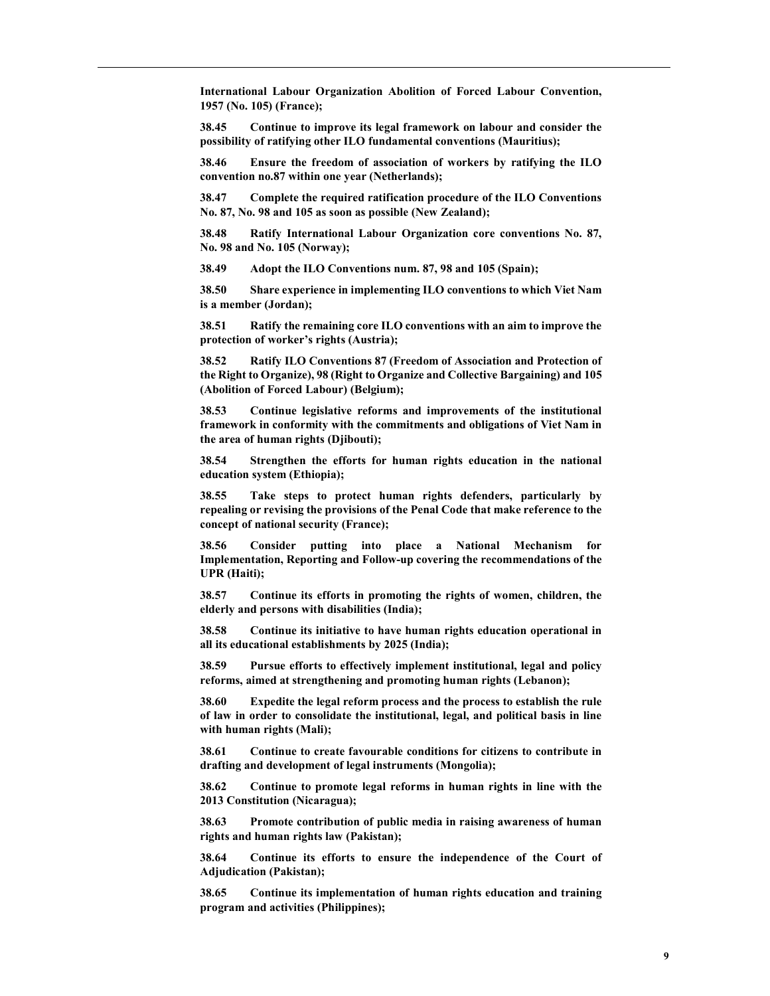International Labour Organization Abolition of Forced Labour Convention, 1957 (No. 105) (France);

38.45 Continue to improve its legal framework on labour and consider the possibility of ratifying other ILO fundamental conventions (Mauritius);

38.46 Ensure the freedom of association of workers by ratifying the ILO convention no.87 within one year (Netherlands);

38.47 Complete the required ratification procedure of the ILO Conventions No. 87, No. 98 and 105 as soon as possible (New Zealand);

38.48 Ratify International Labour Organization core conventions No. 87, No. 98 and No. 105 (Norway);

38.49 Adopt the ILO Conventions num. 87, 98 and 105 (Spain);

38.50 Share experience in implementing ILO conventions to which Viet Nam is a member (Jordan);

38.51 Ratify the remaining core ILO conventions with an aim to improve the protection of worker's rights (Austria);

38.52 Ratify ILO Conventions 87 (Freedom of Association and Protection of the Right to Organize), 98 (Right to Organize and Collective Bargaining) and 105 (Abolition of Forced Labour) (Belgium);

38.53 Continue legislative reforms and improvements of the institutional framework in conformity with the commitments and obligations of Viet Nam in the area of human rights (Djibouti);

38.54 Strengthen the efforts for human rights education in the national education system (Ethiopia);

38.55 Take steps to protect human rights defenders, particularly by repealing or revising the provisions of the Penal Code that make reference to the concept of national security (France);

38.56 Consider putting into place a National Mechanism for Implementation, Reporting and Follow-up covering the recommendations of the UPR (Haiti);

38.57 Continue its efforts in promoting the rights of women, children, the elderly and persons with disabilities (India);

38.58 Continue its initiative to have human rights education operational in all its educational establishments by 2025 (India);

38.59 Pursue efforts to effectively implement institutional, legal and policy reforms, aimed at strengthening and promoting human rights (Lebanon);

38.60 Expedite the legal reform process and the process to establish the rule of law in order to consolidate the institutional, legal, and political basis in line with human rights (Mali);

38.61 Continue to create favourable conditions for citizens to contribute in drafting and development of legal instruments (Mongolia);

38.62 Continue to promote legal reforms in human rights in line with the 2013 Constitution (Nicaragua);

38.63 Promote contribution of public media in raising awareness of human rights and human rights law (Pakistan);

38.64 Continue its efforts to ensure the independence of the Court of Adjudication (Pakistan);

38.65 Continue its implementation of human rights education and training program and activities (Philippines);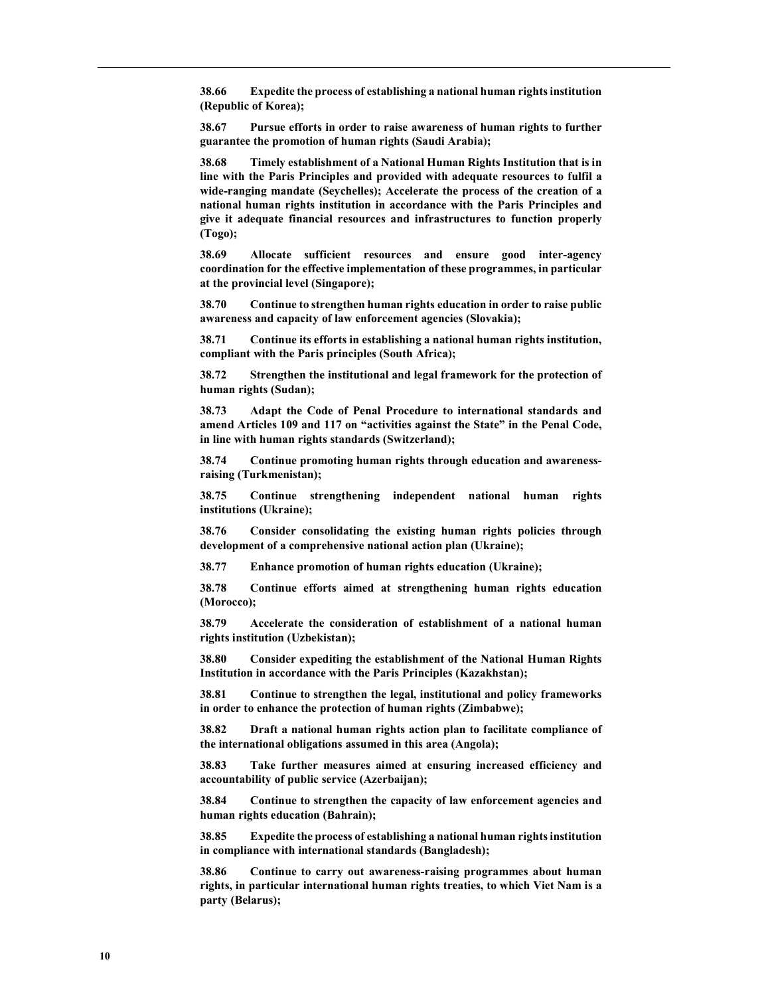38.66 Expedite the process of establishing a national human rights institution (Republic of Korea);

38.67 Pursue efforts in order to raise awareness of human rights to further guarantee the promotion of human rights (Saudi Arabia);

38.68 Timely establishment of a National Human Rights Institution that is in line with the Paris Principles and provided with adequate resources to fulfil a wide-ranging mandate (Seychelles); Accelerate the process of the creation of a national human rights institution in accordance with the Paris Principles and give it adequate financial resources and infrastructures to function properly (Togo);

38.69 Allocate sufficient resources and ensure good inter-agency coordination for the effective implementation of these programmes, in particular at the provincial level (Singapore);

38.70 Continue to strengthen human rights education in order to raise public awareness and capacity of law enforcement agencies (Slovakia);

38.71 Continue its efforts in establishing a national human rights institution, compliant with the Paris principles (South Africa);

38.72 Strengthen the institutional and legal framework for the protection of human rights (Sudan);

38.73 Adapt the Code of Penal Procedure to international standards and amend Articles 109 and 117 on "activities against the State" in the Penal Code, in line with human rights standards (Switzerland);

38.74 Continue promoting human rights through education and awarenessraising (Turkmenistan);

38.75 Continue strengthening independent national human rights institutions (Ukraine);

38.76 Consider consolidating the existing human rights policies through development of a comprehensive national action plan (Ukraine);

38.77 Enhance promotion of human rights education (Ukraine);

38.78 Continue efforts aimed at strengthening human rights education (Morocco);

38.79 Accelerate the consideration of establishment of a national human rights institution (Uzbekistan);

38.80 Consider expediting the establishment of the National Human Rights Institution in accordance with the Paris Principles (Kazakhstan);

38.81 Continue to strengthen the legal, institutional and policy frameworks in order to enhance the protection of human rights (Zimbabwe);

38.82 Draft a national human rights action plan to facilitate compliance of the international obligations assumed in this area (Angola);

38.83 Take further measures aimed at ensuring increased efficiency and accountability of public service (Azerbaijan);

38.84 Continue to strengthen the capacity of law enforcement agencies and human rights education (Bahrain);

38.85 Expedite the process of establishing a national human rights institution in compliance with international standards (Bangladesh);

38.86 Continue to carry out awareness-raising programmes about human rights, in particular international human rights treaties, to which Viet Nam is a party (Belarus);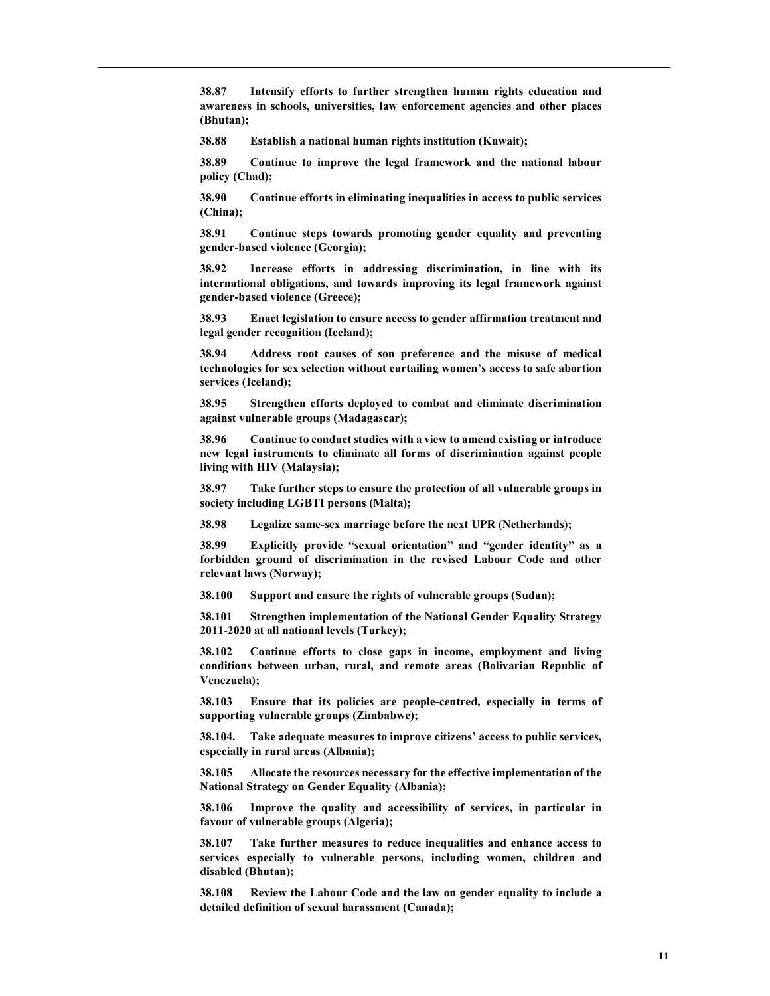38.87 Intensify efforts to further strengthen human rights education and awareness in schools, universities, law enforcement agencies and other places (Bhutan);

38.88 Establish a national human rights institution (Kuwait);

38.89 Continue to improve the legal framework and the national labour policy (Chad);

38.90 Continue efforts in eliminating inequalities in access to public services (China);

38.91 Continue steps towards promoting gender equality and preventing gender-based violence (Georgia);

38.92 Increase efforts in addressing discrimination, in line with its international obligations, and towards improving its legal framework against gender-based violence (Greece);

38.93 Enact legislation to ensure access to gender affirmation treatment and legal gender recognition (Iceland);

38.94 Address root causes of son preference and the misuse of medical technologies for sex selection without curtailing women's access to safe abortion services (Iceland);

38.95 Strengthen efforts deployed to combat and eliminate discrimination against vulnerable groups (Madagascar);

38.96 Continue to conduct studies with a view to amend existing or introduce new legal instruments to eliminate all forms of discrimination against people living with HIV (Malaysia);

38.97 Take further steps to ensure the protection of all vulnerable groups in society including LGBTI persons (Malta);

38.98 Legalize same-sex marriage before the next UPR (Netherlands);

38.99 Explicitly provide "sexual orientation" and "gender identity" as a forbidden ground of discrimination in the revised Labour Code and other relevant laws (Norway);

38.100 Support and ensure the rights of vulnerable groups (Sudan);

38.101 Strengthen implementation of the National Gender Equality Strategy 2011-2020 at all national levels (Turkey);

38.102 Continue efforts to close gaps in income, employment and living conditions between urban, rural, and remote areas (Bolivarian Republic of Venezuela);

38.103 Ensure that its policies are people-centred, especially in terms of supporting vulnerable groups (Zimbabwe);

38.104. Take adequate measures to improve citizens' access to public services, especially in rural areas (Albania);

38.105 Allocate the resources necessary for the effective implementation of the National Strategy on Gender Equality (Albania);

38.106 Improve the quality and accessibility of services, in particular in favour of vulnerable groups (Algeria);

38.107 Take further measures to reduce inequalities and enhance access to services especially to vulnerable persons, including women, children and disabled (Bhutan);

38.108 Review the Labour Code and the law on gender equality to include a detailed definition of sexual harassment (Canada);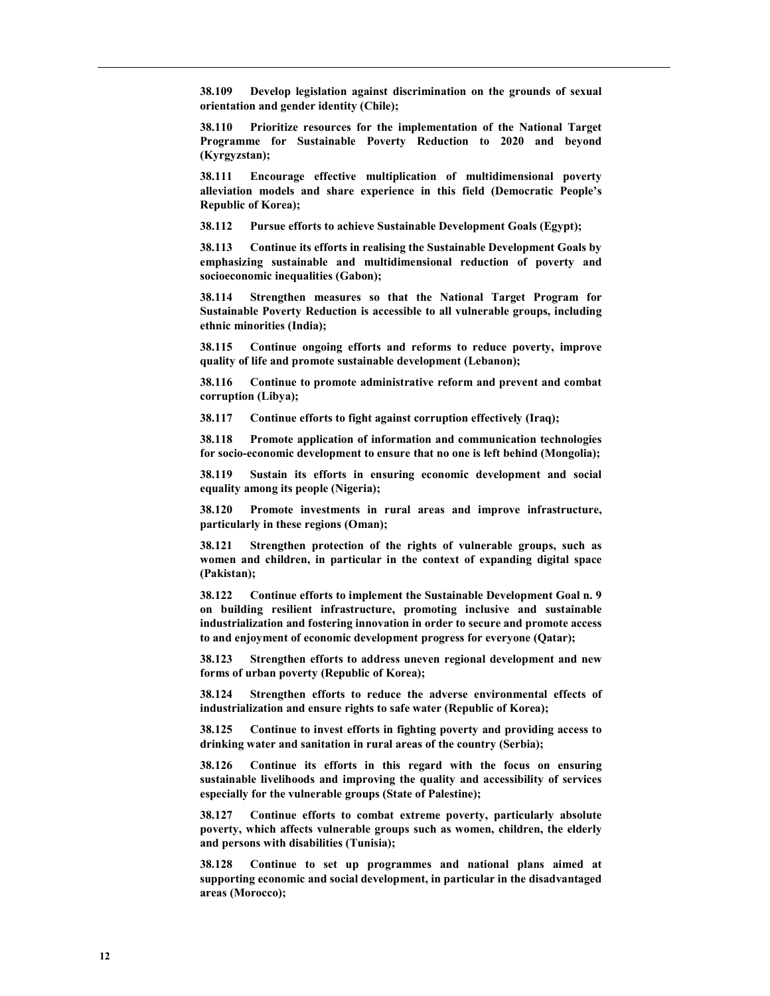38.109 Develop legislation against discrimination on the grounds of sexual orientation and gender identity (Chile);

38.110 Prioritize resources for the implementation of the National Target Programme for Sustainable Poverty Reduction to 2020 and beyond (Kyrgyzstan);

38.111 Encourage effective multiplication of multidimensional poverty alleviation models and share experience in this field (Democratic People's Republic of Korea);

38.112 Pursue efforts to achieve Sustainable Development Goals (Egypt);

38.113 Continue its efforts in realising the Sustainable Development Goals by emphasizing sustainable and multidimensional reduction of poverty and socioeconomic inequalities (Gabon);

38.114 Strengthen measures so that the National Target Program for Sustainable Poverty Reduction is accessible to all vulnerable groups, including ethnic minorities (India);

38.115 Continue ongoing efforts and reforms to reduce poverty, improve quality of life and promote sustainable development (Lebanon);

38.116 Continue to promote administrative reform and prevent and combat corruption (Libya);

38.117 Continue efforts to fight against corruption effectively (Iraq);

38.118 Promote application of information and communication technologies for socio-economic development to ensure that no one is left behind (Mongolia);

38.119 Sustain its efforts in ensuring economic development and social equality among its people (Nigeria);

38.120 Promote investments in rural areas and improve infrastructure, particularly in these regions (Oman);

38.121 Strengthen protection of the rights of vulnerable groups, such as women and children, in particular in the context of expanding digital space (Pakistan);

38.122 Continue efforts to implement the Sustainable Development Goal n. 9 on building resilient infrastructure, promoting inclusive and sustainable industrialization and fostering innovation in order to secure and promote access to and enjoyment of economic development progress for everyone (Qatar);

38.123 Strengthen efforts to address uneven regional development and new forms of urban poverty (Republic of Korea);

38.124 Strengthen efforts to reduce the adverse environmental effects of industrialization and ensure rights to safe water (Republic of Korea);

38.125 Continue to invest efforts in fighting poverty and providing access to drinking water and sanitation in rural areas of the country (Serbia);

38.126 Continue its efforts in this regard with the focus on ensuring sustainable livelihoods and improving the quality and accessibility of services especially for the vulnerable groups (State of Palestine);

38.127 Continue efforts to combat extreme poverty, particularly absolute poverty, which affects vulnerable groups such as women, children, the elderly and persons with disabilities (Tunisia);

38.128 Continue to set up programmes and national plans aimed at supporting economic and social development, in particular in the disadvantaged areas (Morocco);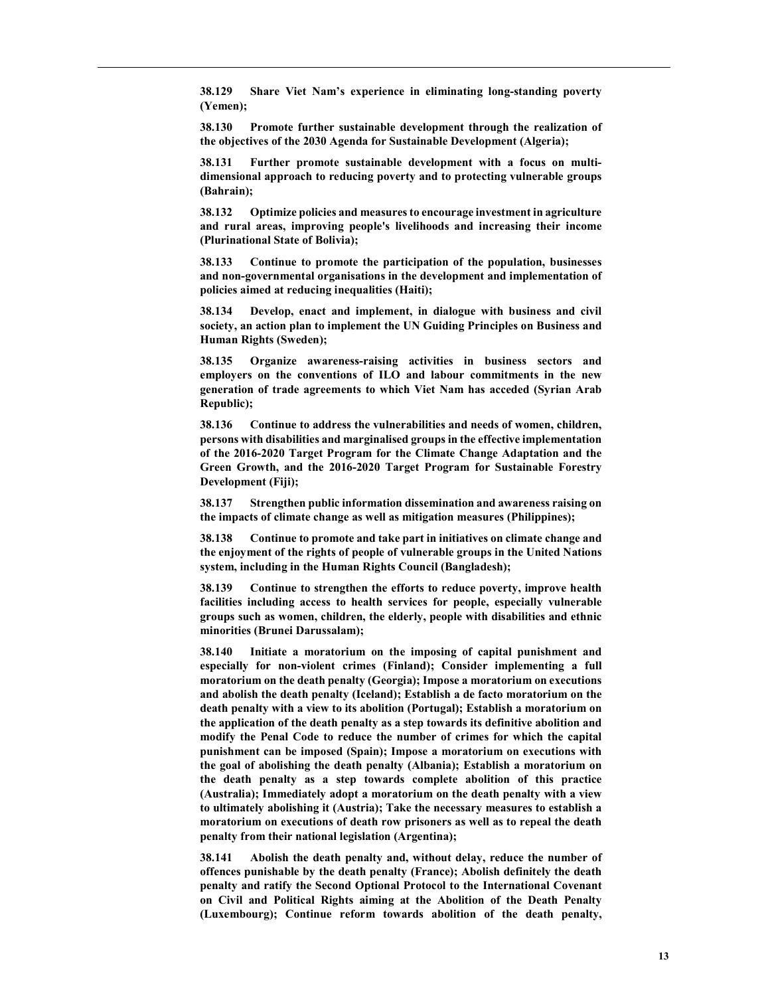38.129 Share Viet Nam's experience in eliminating long-standing poverty (Yemen);

38.130 Promote further sustainable development through the realization of the objectives of the 2030 Agenda for Sustainable Development (Algeria);

38.131 Further promote sustainable development with a focus on multidimensional approach to reducing poverty and to protecting vulnerable groups (Bahrain);

38.132 Optimize policies and measures to encourage investment in agriculture and rural areas, improving people's livelihoods and increasing their income (Plurinational State of Bolivia);

38.133 Continue to promote the participation of the population, businesses and non-governmental organisations in the development and implementation of policies aimed at reducing inequalities (Haiti);

38.134 Develop, enact and implement, in dialogue with business and civil society, an action plan to implement the UN Guiding Principles on Business and Human Rights (Sweden);

38.135 Organize awareness-raising activities in business sectors and employers on the conventions of ILO and labour commitments in the new generation of trade agreements to which Viet Nam has acceded (Syrian Arab Republic);

38.136 Continue to address the vulnerabilities and needs of women, children, persons with disabilities and marginalised groups in the effective implementation of the 2016-2020 Target Program for the Climate Change Adaptation and the Green Growth, and the 2016-2020 Target Program for Sustainable Forestry Development (Fiji);

38.137 Strengthen public information dissemination and awareness raising on the impacts of climate change as well as mitigation measures (Philippines);

38.138 Continue to promote and take part in initiatives on climate change and the enjoyment of the rights of people of vulnerable groups in the United Nations system, including in the Human Rights Council (Bangladesh);

38.139 Continue to strengthen the efforts to reduce poverty, improve health facilities including access to health services for people, especially vulnerable groups such as women, children, the elderly, people with disabilities and ethnic minorities (Brunei Darussalam);

38.140 Initiate a moratorium on the imposing of capital punishment and especially for non-violent crimes (Finland); Consider implementing a full moratorium on the death penalty (Georgia); Impose a moratorium on executions and abolish the death penalty (Iceland); Establish a de facto moratorium on the death penalty with a view to its abolition (Portugal); Establish a moratorium on the application of the death penalty as a step towards its definitive abolition and modify the Penal Code to reduce the number of crimes for which the capital punishment can be imposed (Spain); Impose a moratorium on executions with the goal of abolishing the death penalty (Albania); Establish a moratorium on the death penalty as a step towards complete abolition of this practice (Australia); Immediately adopt a moratorium on the death penalty with a view to ultimately abolishing it (Austria); Take the necessary measures to establish a moratorium on executions of death row prisoners as well as to repeal the death penalty from their national legislation (Argentina);

38.141 Abolish the death penalty and, without delay, reduce the number of offences punishable by the death penalty (France); Abolish definitely the death penalty and ratify the Second Optional Protocol to the International Covenant on Civil and Political Rights aiming at the Abolition of the Death Penalty (Luxembourg); Continue reform towards abolition of the death penalty,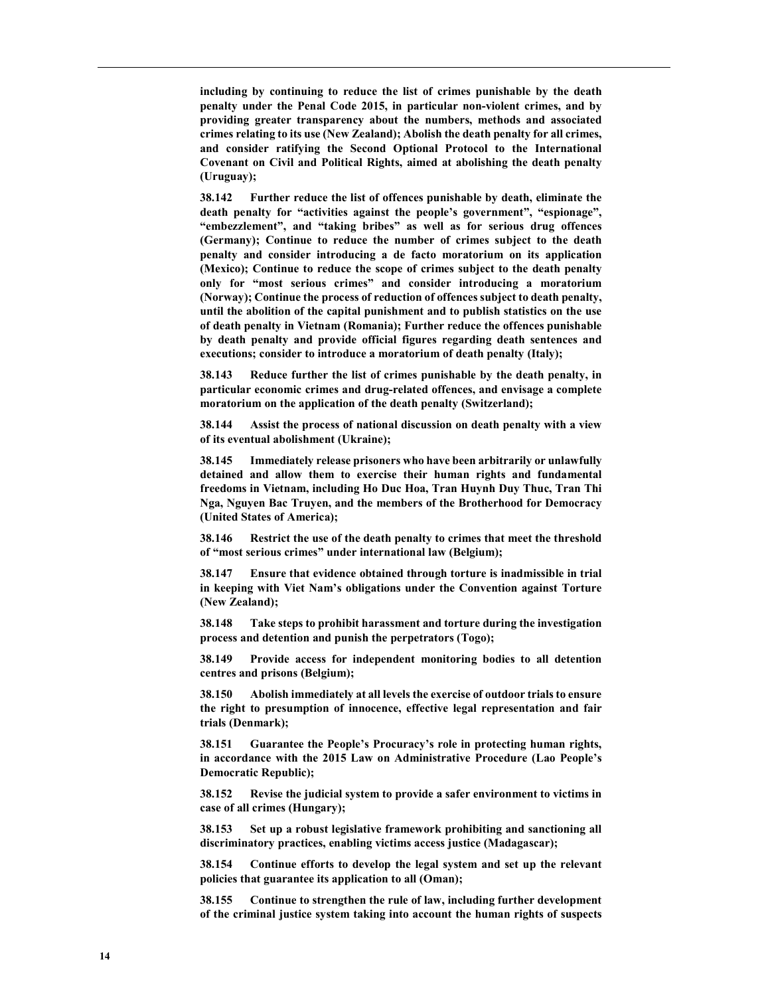including by continuing to reduce the list of crimes punishable by the death penalty under the Penal Code 2015, in particular non-violent crimes, and by providing greater transparency about the numbers, methods and associated crimes relating to its use (New Zealand); Abolish the death penalty for all crimes, and consider ratifying the Second Optional Protocol to the International Covenant on Civil and Political Rights, aimed at abolishing the death penalty (Uruguay);

38.142 Further reduce the list of offences punishable by death, eliminate the death penalty for "activities against the people's government", "espionage", "embezzlement", and "taking bribes" as well as for serious drug offences (Germany); Continue to reduce the number of crimes subject to the death penalty and consider introducing a de facto moratorium on its application (Mexico); Continue to reduce the scope of crimes subject to the death penalty only for "most serious crimes" and consider introducing a moratorium (Norway); Continue the process of reduction of offences subject to death penalty, until the abolition of the capital punishment and to publish statistics on the use of death penalty in Vietnam (Romania); Further reduce the offences punishable by death penalty and provide official figures regarding death sentences and executions; consider to introduce a moratorium of death penalty (Italy);

38.143 Reduce further the list of crimes punishable by the death penalty, in particular economic crimes and drug-related offences, and envisage a complete moratorium on the application of the death penalty (Switzerland);

38.144 Assist the process of national discussion on death penalty with a view of its eventual abolishment (Ukraine);

38.145 Immediately release prisoners who have been arbitrarily or unlawfully detained and allow them to exercise their human rights and fundamental freedoms in Vietnam, including Ho Duc Hoa, Tran Huynh Duy Thuc, Tran Thi Nga, Nguyen Bac Truyen, and the members of the Brotherhood for Democracy (United States of America);

38.146 Restrict the use of the death penalty to crimes that meet the threshold of "most serious crimes" under international law (Belgium);

38.147 Ensure that evidence obtained through torture is inadmissible in trial in keeping with Viet Nam's obligations under the Convention against Torture (New Zealand);

38.148 Take steps to prohibit harassment and torture during the investigation process and detention and punish the perpetrators (Togo);

38.149 Provide access for independent monitoring bodies to all detention centres and prisons (Belgium);

38.150 Abolish immediately at all levels the exercise of outdoor trials to ensure the right to presumption of innocence, effective legal representation and fair trials (Denmark);

38.151 Guarantee the People's Procuracy's role in protecting human rights, in accordance with the 2015 Law on Administrative Procedure (Lao People's Democratic Republic);

38.152 Revise the judicial system to provide a safer environment to victims in case of all crimes (Hungary);

38.153 Set up a robust legislative framework prohibiting and sanctioning all discriminatory practices, enabling victims access justice (Madagascar);

38.154 Continue efforts to develop the legal system and set up the relevant policies that guarantee its application to all (Oman);

38.155 Continue to strengthen the rule of law, including further development of the criminal justice system taking into account the human rights of suspects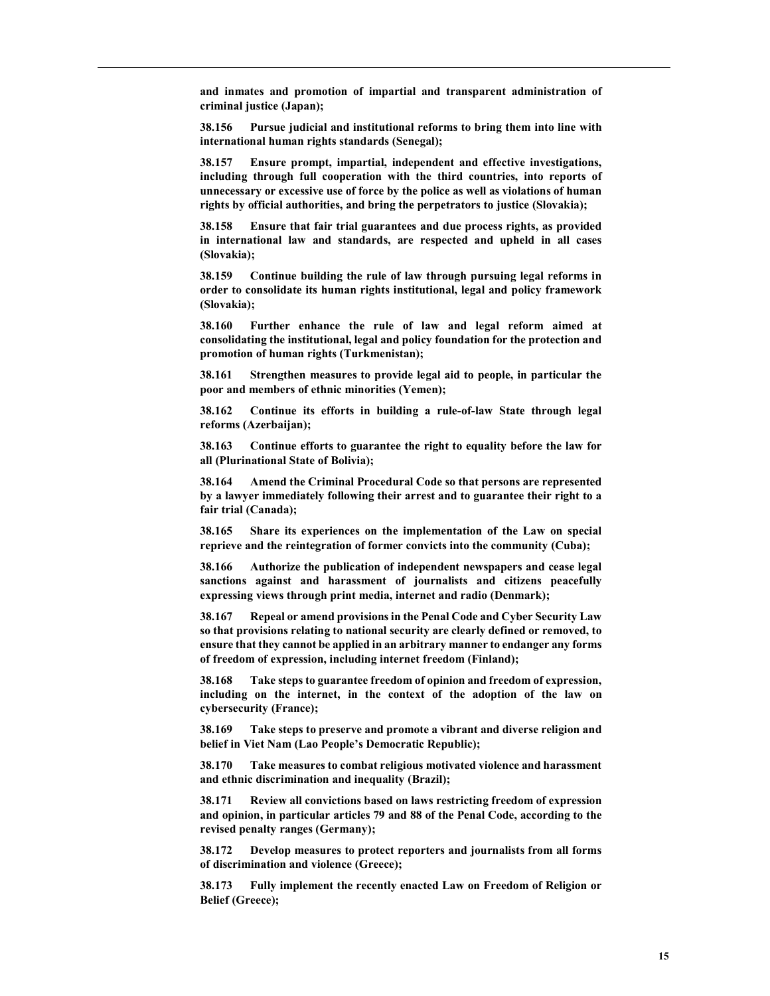and inmates and promotion of impartial and transparent administration of criminal justice (Japan);

38.156 Pursue judicial and institutional reforms to bring them into line with international human rights standards (Senegal);

38.157 Ensure prompt, impartial, independent and effective investigations, including through full cooperation with the third countries, into reports of unnecessary or excessive use of force by the police as well as violations of human rights by official authorities, and bring the perpetrators to justice (Slovakia);

38.158 Ensure that fair trial guarantees and due process rights, as provided in international law and standards, are respected and upheld in all cases (Slovakia);

38.159 Continue building the rule of law through pursuing legal reforms in order to consolidate its human rights institutional, legal and policy framework (Slovakia);

38.160 Further enhance the rule of law and legal reform aimed at consolidating the institutional, legal and policy foundation for the protection and promotion of human rights (Turkmenistan);

38.161 Strengthen measures to provide legal aid to people, in particular the poor and members of ethnic minorities (Yemen);

38.162 Continue its efforts in building a rule-of-law State through legal reforms (Azerbaijan);

38.163 Continue efforts to guarantee the right to equality before the law for all (Plurinational State of Bolivia);

38.164 Amend the Criminal Procedural Code so that persons are represented by a lawyer immediately following their arrest and to guarantee their right to a fair trial (Canada);

38.165 Share its experiences on the implementation of the Law on special reprieve and the reintegration of former convicts into the community (Cuba);

38.166 Authorize the publication of independent newspapers and cease legal sanctions against and harassment of journalists and citizens peacefully expressing views through print media, internet and radio (Denmark);

38.167 Repeal or amend provisions in the Penal Code and Cyber Security Law so that provisions relating to national security are clearly defined or removed, to ensure that they cannot be applied in an arbitrary manner to endanger any forms of freedom of expression, including internet freedom (Finland);

38.168 Take steps to guarantee freedom of opinion and freedom of expression, including on the internet, in the context of the adoption of the law on cybersecurity (France);

38.169 Take steps to preserve and promote a vibrant and diverse religion and belief in Viet Nam (Lao People's Democratic Republic);

38.170 Take measures to combat religious motivated violence and harassment and ethnic discrimination and inequality (Brazil);

38.171 Review all convictions based on laws restricting freedom of expression and opinion, in particular articles 79 and 88 of the Penal Code, according to the revised penalty ranges (Germany);

38.172 Develop measures to protect reporters and journalists from all forms of discrimination and violence (Greece);

38.173 Fully implement the recently enacted Law on Freedom of Religion or Belief (Greece);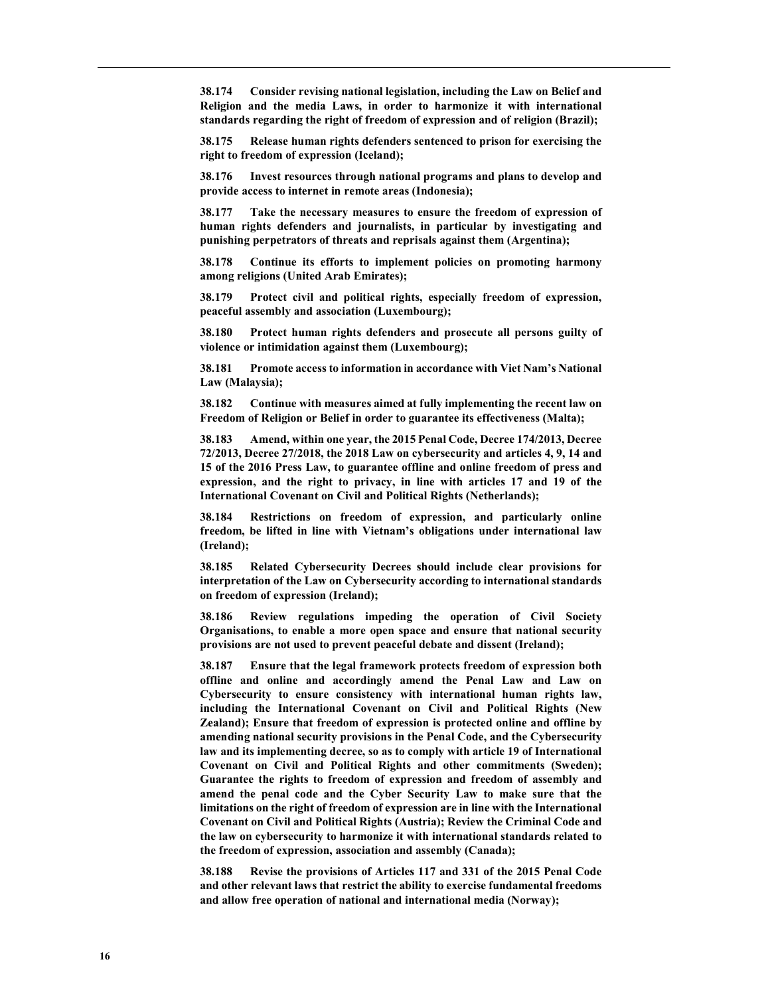38.174 Consider revising national legislation, including the Law on Belief and Religion and the media Laws, in order to harmonize it with international standards regarding the right of freedom of expression and of religion (Brazil);

38.175 Release human rights defenders sentenced to prison for exercising the right to freedom of expression (Iceland);

38.176 Invest resources through national programs and plans to develop and provide access to internet in remote areas (Indonesia);

38.177 Take the necessary measures to ensure the freedom of expression of human rights defenders and journalists, in particular by investigating and punishing perpetrators of threats and reprisals against them (Argentina);

38.178 Continue its efforts to implement policies on promoting harmony among religions (United Arab Emirates);

38.179 Protect civil and political rights, especially freedom of expression, peaceful assembly and association (Luxembourg);

38.180 Protect human rights defenders and prosecute all persons guilty of violence or intimidation against them (Luxembourg);

38.181 Promote access to information in accordance with Viet Nam's National Law (Malaysia);

38.182 Continue with measures aimed at fully implementing the recent law on Freedom of Religion or Belief in order to guarantee its effectiveness (Malta);

38.183 Amend, within one year, the 2015 Penal Code, Decree 174/2013, Decree 72/2013, Decree 27/2018, the 2018 Law on cybersecurity and articles 4, 9, 14 and 15 of the 2016 Press Law, to guarantee offline and online freedom of press and expression, and the right to privacy, in line with articles 17 and 19 of the International Covenant on Civil and Political Rights (Netherlands);

38.184 Restrictions on freedom of expression, and particularly online freedom, be lifted in line with Vietnam's obligations under international law (Ireland);

38.185 Related Cybersecurity Decrees should include clear provisions for interpretation of the Law on Cybersecurity according to international standards on freedom of expression (Ireland);

38.186 Review regulations impeding the operation of Civil Society Organisations, to enable a more open space and ensure that national security provisions are not used to prevent peaceful debate and dissent (Ireland);

38.187 Ensure that the legal framework protects freedom of expression both offline and online and accordingly amend the Penal Law and Law on Cybersecurity to ensure consistency with international human rights law, including the International Covenant on Civil and Political Rights (New Zealand); Ensure that freedom of expression is protected online and offline by amending national security provisions in the Penal Code, and the Cybersecurity law and its implementing decree, so as to comply with article 19 of International Covenant on Civil and Political Rights and other commitments (Sweden); Guarantee the rights to freedom of expression and freedom of assembly and amend the penal code and the Cyber Security Law to make sure that the limitations on the right of freedom of expression are in line with the International Covenant on Civil and Political Rights (Austria); Review the Criminal Code and the law on cybersecurity to harmonize it with international standards related to the freedom of expression, association and assembly (Canada);

38.188 Revise the provisions of Articles 117 and 331 of the 2015 Penal Code and other relevant laws that restrict the ability to exercise fundamental freedoms and allow free operation of national and international media (Norway);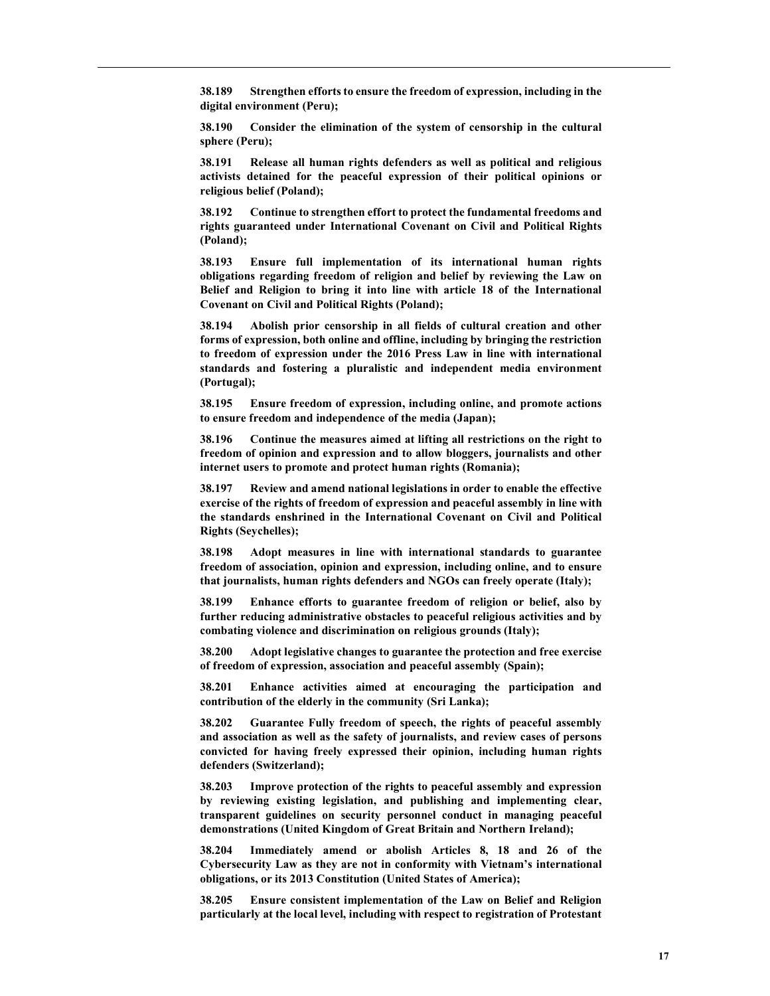38.189 Strengthen efforts to ensure the freedom of expression, including in the digital environment (Peru);

38.190 Consider the elimination of the system of censorship in the cultural sphere (Peru);

38.191 Release all human rights defenders as well as political and religious activists detained for the peaceful expression of their political opinions or religious belief (Poland);

Continue to strengthen effort to protect the fundamental freedoms and rights guaranteed under International Covenant on Civil and Political Rights (Poland);

38.193 Ensure full implementation of its international human rights obligations regarding freedom of religion and belief by reviewing the Law on Belief and Religion to bring it into line with article 18 of the International Covenant on Civil and Political Rights (Poland);

38.194 Abolish prior censorship in all fields of cultural creation and other forms of expression, both online and offline, including by bringing the restriction to freedom of expression under the 2016 Press Law in line with international standards and fostering a pluralistic and independent media environment (Portugal);

38.195 Ensure freedom of expression, including online, and promote actions to ensure freedom and independence of the media (Japan);

38.196 Continue the measures aimed at lifting all restrictions on the right to freedom of opinion and expression and to allow bloggers, journalists and other internet users to promote and protect human rights (Romania);

38.197 Review and amend national legislations in order to enable the effective exercise of the rights of freedom of expression and peaceful assembly in line with the standards enshrined in the International Covenant on Civil and Political Rights (Seychelles);

38.198 Adopt measures in line with international standards to guarantee freedom of association, opinion and expression, including online, and to ensure that journalists, human rights defenders and NGOs can freely operate (Italy);

38.199 Enhance efforts to guarantee freedom of religion or belief, also by further reducing administrative obstacles to peaceful religious activities and by combating violence and discrimination on religious grounds (Italy);

38.200 Adopt legislative changes to guarantee the protection and free exercise of freedom of expression, association and peaceful assembly (Spain);

38.201 Enhance activities aimed at encouraging the participation and contribution of the elderly in the community (Sri Lanka);

38.202 Guarantee Fully freedom of speech, the rights of peaceful assembly and association as well as the safety of journalists, and review cases of persons convicted for having freely expressed their opinion, including human rights defenders (Switzerland);

38.203 Improve protection of the rights to peaceful assembly and expression by reviewing existing legislation, and publishing and implementing clear, transparent guidelines on security personnel conduct in managing peaceful demonstrations (United Kingdom of Great Britain and Northern Ireland);

38.204 Immediately amend or abolish Articles 8, 18 and 26 of the Cybersecurity Law as they are not in conformity with Vietnam's international obligations, or its 2013 Constitution (United States of America);

38.205 Ensure consistent implementation of the Law on Belief and Religion particularly at the local level, including with respect to registration of Protestant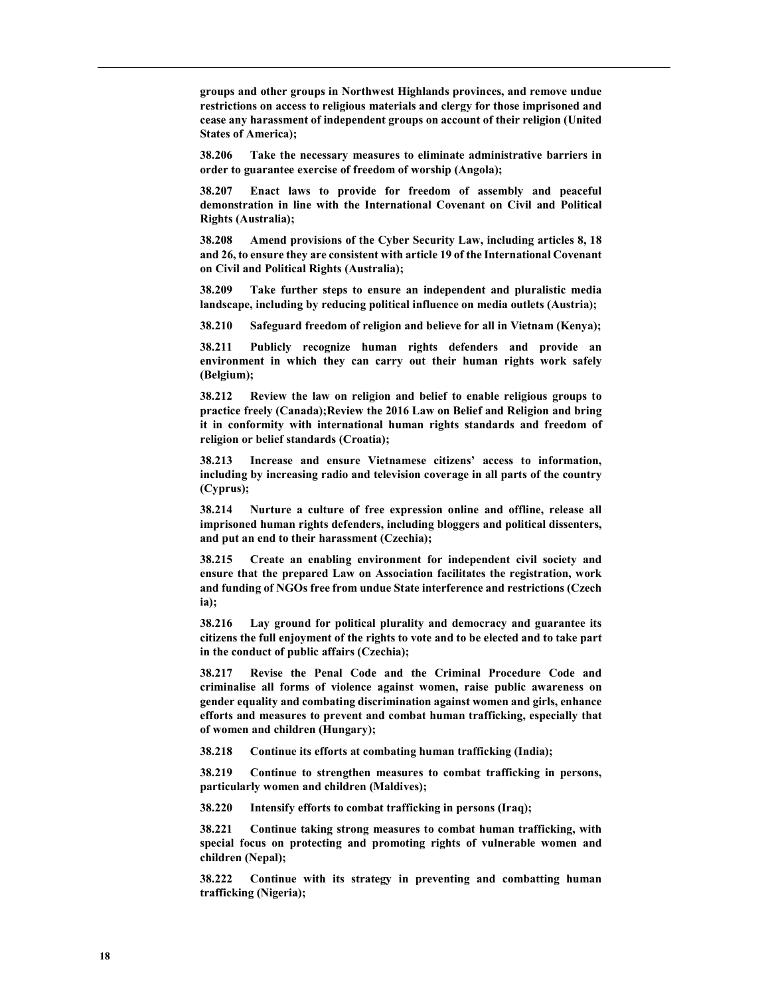groups and other groups in Northwest Highlands provinces, and remove undue restrictions on access to religious materials and clergy for those imprisoned and cease any harassment of independent groups on account of their religion (United States of America);

38.206 Take the necessary measures to eliminate administrative barriers in order to guarantee exercise of freedom of worship (Angola);

38.207 Enact laws to provide for freedom of assembly and peaceful demonstration in line with the International Covenant on Civil and Political Rights (Australia);

38.208 Amend provisions of the Cyber Security Law, including articles 8, 18 and 26, to ensure they are consistent with article 19 of the International Covenant on Civil and Political Rights (Australia);

38.209 Take further steps to ensure an independent and pluralistic media landscape, including by reducing political influence on media outlets (Austria);

38.210 Safeguard freedom of religion and believe for all in Vietnam (Kenya);

38.211 Publicly recognize human rights defenders and provide an environment in which they can carry out their human rights work safely (Belgium);

38.212 Review the law on religion and belief to enable religious groups to practice freely (Canada);Review the 2016 Law on Belief and Religion and bring it in conformity with international human rights standards and freedom of religion or belief standards (Croatia);

38.213 Increase and ensure Vietnamese citizens' access to information, including by increasing radio and television coverage in all parts of the country (Cyprus);

38.214 Nurture a culture of free expression online and offline, release all imprisoned human rights defenders, including bloggers and political dissenters, and put an end to their harassment (Czechia);

38.215 Create an enabling environment for independent civil society and ensure that the prepared Law on Association facilitates the registration, work and funding of NGOs free from undue State interference and restrictions (Czech ia);

38.216 Lay ground for political plurality and democracy and guarantee its citizens the full enjoyment of the rights to vote and to be elected and to take part in the conduct of public affairs (Czechia);

38.217 Revise the Penal Code and the Criminal Procedure Code and criminalise all forms of violence against women, raise public awareness on gender equality and combating discrimination against women and girls, enhance efforts and measures to prevent and combat human trafficking, especially that of women and children (Hungary);

38.218 Continue its efforts at combating human trafficking (India);

38.219 Continue to strengthen measures to combat trafficking in persons, particularly women and children (Maldives);

38.220 Intensify efforts to combat trafficking in persons (Iraq);

38.221 Continue taking strong measures to combat human trafficking, with special focus on protecting and promoting rights of vulnerable women and children (Nepal);

38.222 Continue with its strategy in preventing and combatting human trafficking (Nigeria);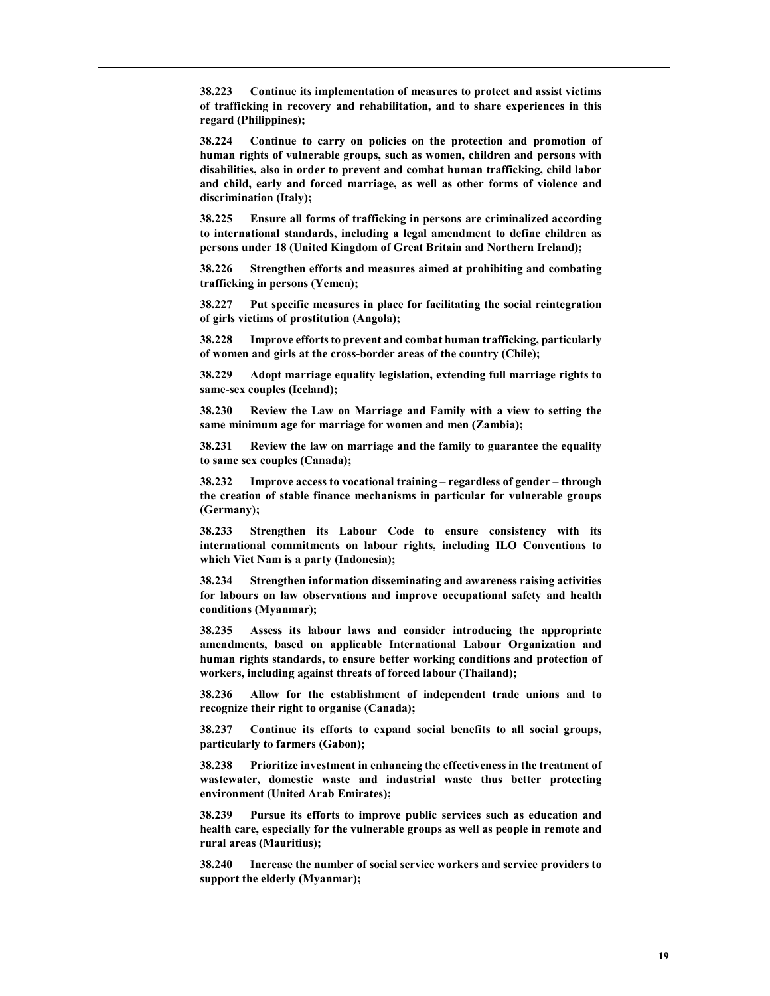38.223 Continue its implementation of measures to protect and assist victims of trafficking in recovery and rehabilitation, and to share experiences in this regard (Philippines);

38.224 Continue to carry on policies on the protection and promotion of human rights of vulnerable groups, such as women, children and persons with disabilities, also in order to prevent and combat human trafficking, child labor and child, early and forced marriage, as well as other forms of violence and discrimination (Italy);

38.225 Ensure all forms of trafficking in persons are criminalized according to international standards, including a legal amendment to define children as persons under 18 (United Kingdom of Great Britain and Northern Ireland);

38.226 Strengthen efforts and measures aimed at prohibiting and combating trafficking in persons (Yemen);

38.227 Put specific measures in place for facilitating the social reintegration of girls victims of prostitution (Angola);

38.228 Improve efforts to prevent and combat human trafficking, particularly of women and girls at the cross-border areas of the country (Chile);

38.229 Adopt marriage equality legislation, extending full marriage rights to same-sex couples (Iceland);

38.230 Review the Law on Marriage and Family with a view to setting the same minimum age for marriage for women and men (Zambia);

38.231 Review the law on marriage and the family to guarantee the equality to same sex couples (Canada);

38.232 Improve access to vocational training – regardless of gender – through the creation of stable finance mechanisms in particular for vulnerable groups (Germany);

Strengthen its Labour Code to ensure consistency with its international commitments on labour rights, including ILO Conventions to which Viet Nam is a party (Indonesia);

38.234 Strengthen information disseminating and awareness raising activities for labours on law observations and improve occupational safety and health conditions (Myanmar);

38.235 Assess its labour laws and consider introducing the appropriate amendments, based on applicable International Labour Organization and human rights standards, to ensure better working conditions and protection of workers, including against threats of forced labour (Thailand);

38.236 Allow for the establishment of independent trade unions and to recognize their right to organise (Canada);

38.237 Continue its efforts to expand social benefits to all social groups, particularly to farmers (Gabon);

38.238 Prioritize investment in enhancing the effectiveness in the treatment of wastewater, domestic waste and industrial waste thus better protecting environment (United Arab Emirates);

38.239 Pursue its efforts to improve public services such as education and health care, especially for the vulnerable groups as well as people in remote and rural areas (Mauritius);

38.240 Increase the number of social service workers and service providers to support the elderly (Myanmar);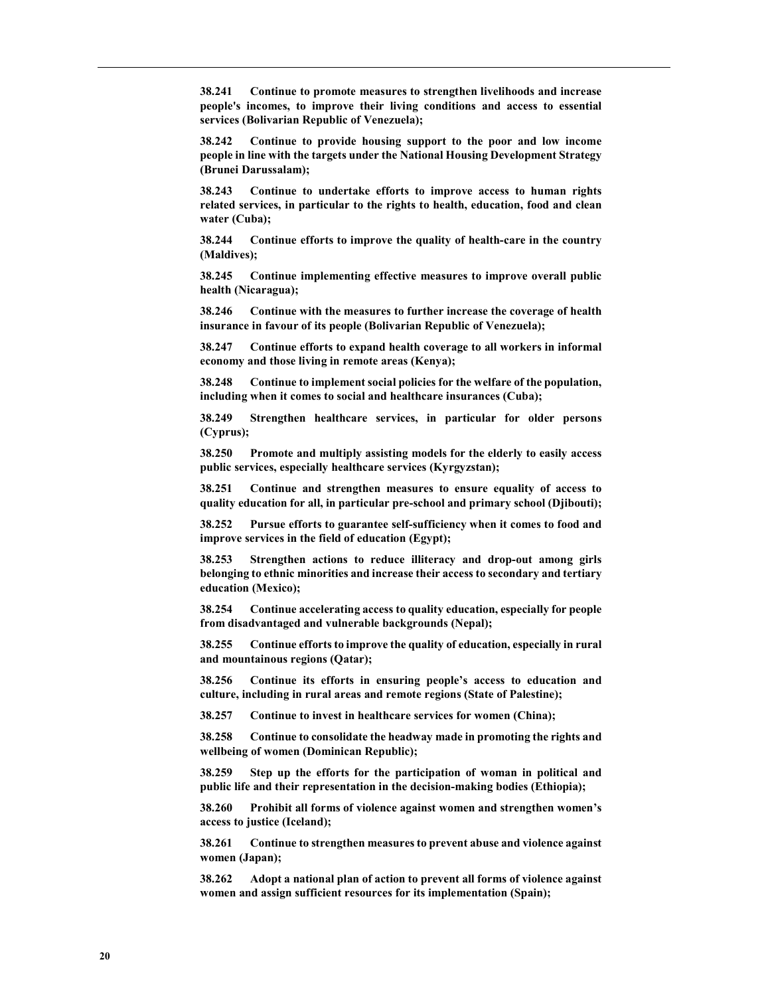38.241 Continue to promote measures to strengthen livelihoods and increase people's incomes, to improve their living conditions and access to essential services (Bolivarian Republic of Venezuela);

38.242 Continue to provide housing support to the poor and low income people in line with the targets under the National Housing Development Strategy (Brunei Darussalam);

38.243 Continue to undertake efforts to improve access to human rights related services, in particular to the rights to health, education, food and clean water (Cuba);

38.244 Continue efforts to improve the quality of health-care in the country (Maldives);

38.245 Continue implementing effective measures to improve overall public health (Nicaragua);

38.246 Continue with the measures to further increase the coverage of health insurance in favour of its people (Bolivarian Republic of Venezuela);

38.247 Continue efforts to expand health coverage to all workers in informal economy and those living in remote areas (Kenya);

38.248 Continue to implement social policies for the welfare of the population, including when it comes to social and healthcare insurances (Cuba);

38.249 Strengthen healthcare services, in particular for older persons (Cyprus);

38.250 Promote and multiply assisting models for the elderly to easily access public services, especially healthcare services (Kyrgyzstan);

38.251 Continue and strengthen measures to ensure equality of access to quality education for all, in particular pre-school and primary school (Djibouti);

38.252 Pursue efforts to guarantee self-sufficiency when it comes to food and improve services in the field of education (Egypt);

38.253 Strengthen actions to reduce illiteracy and drop-out among girls belonging to ethnic minorities and increase their access to secondary and tertiary education (Mexico);

38.254 Continue accelerating access to quality education, especially for people from disadvantaged and vulnerable backgrounds (Nepal);

38.255 Continue efforts to improve the quality of education, especially in rural and mountainous regions (Qatar);

38.256 Continue its efforts in ensuring people's access to education and culture, including in rural areas and remote regions (State of Palestine);

38.257 Continue to invest in healthcare services for women (China);

38.258 Continue to consolidate the headway made in promoting the rights and wellbeing of women (Dominican Republic);

38.259 Step up the efforts for the participation of woman in political and public life and their representation in the decision-making bodies (Ethiopia);

38.260 Prohibit all forms of violence against women and strengthen women's access to justice (Iceland);

38.261 Continue to strengthen measures to prevent abuse and violence against women (Japan);

38.262 Adopt a national plan of action to prevent all forms of violence against women and assign sufficient resources for its implementation (Spain);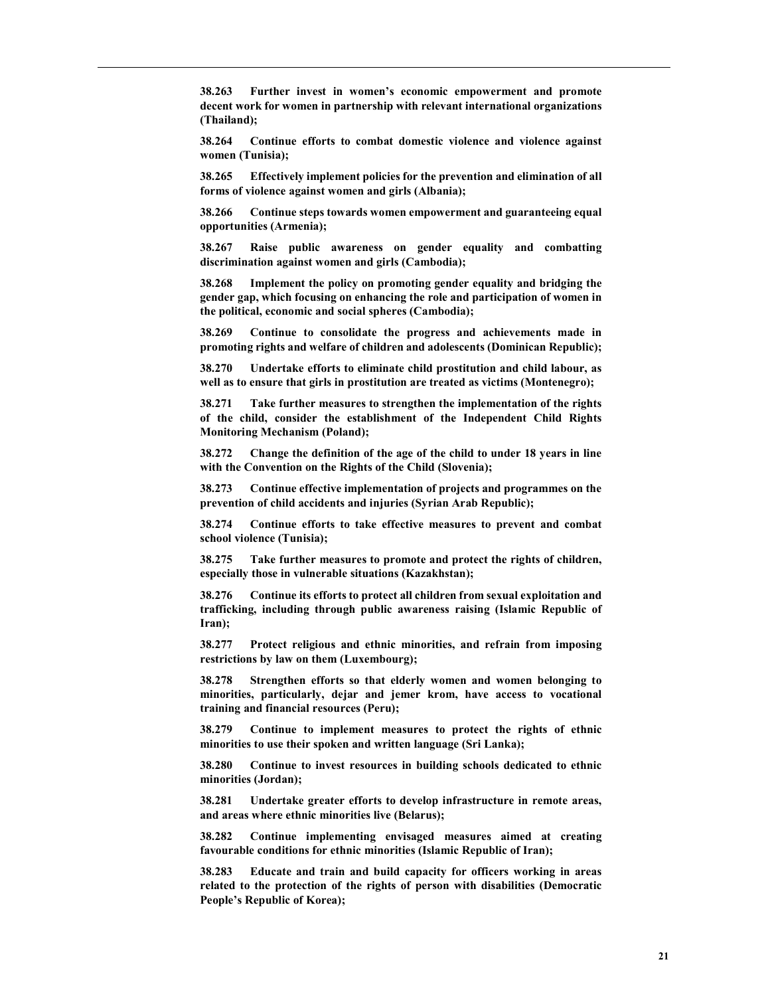38.263 Further invest in women's economic empowerment and promote decent work for women in partnership with relevant international organizations (Thailand);

38.264 Continue efforts to combat domestic violence and violence against women (Tunisia);

38.265 Effectively implement policies for the prevention and elimination of all forms of violence against women and girls (Albania);

38.266 Continue steps towards women empowerment and guaranteeing equal opportunities (Armenia);

38.267 Raise public awareness on gender equality and combatting discrimination against women and girls (Cambodia);

38.268 Implement the policy on promoting gender equality and bridging the gender gap, which focusing on enhancing the role and participation of women in the political, economic and social spheres (Cambodia);

38.269 Continue to consolidate the progress and achievements made in promoting rights and welfare of children and adolescents (Dominican Republic);

38.270 Undertake efforts to eliminate child prostitution and child labour, as well as to ensure that girls in prostitution are treated as victims (Montenegro);

38.271 Take further measures to strengthen the implementation of the rights of the child, consider the establishment of the Independent Child Rights Monitoring Mechanism (Poland);

38.272 Change the definition of the age of the child to under 18 years in line with the Convention on the Rights of the Child (Slovenia);

38.273 Continue effective implementation of projects and programmes on the prevention of child accidents and injuries (Syrian Arab Republic);

38.274 Continue efforts to take effective measures to prevent and combat school violence (Tunisia);

38.275 Take further measures to promote and protect the rights of children, especially those in vulnerable situations (Kazakhstan);

38.276 Continue its efforts to protect all children from sexual exploitation and trafficking, including through public awareness raising (Islamic Republic of Iran);

38.277 Protect religious and ethnic minorities, and refrain from imposing restrictions by law on them (Luxembourg);

38.278 Strengthen efforts so that elderly women and women belonging to minorities, particularly, dejar and jemer krom, have access to vocational training and financial resources (Peru);

38.279 Continue to implement measures to protect the rights of ethnic minorities to use their spoken and written language (Sri Lanka);

38.280 Continue to invest resources in building schools dedicated to ethnic minorities (Jordan);

38.281 Undertake greater efforts to develop infrastructure in remote areas, and areas where ethnic minorities live (Belarus);

38.282 Continue implementing envisaged measures aimed at creating favourable conditions for ethnic minorities (Islamic Republic of Iran);

38.283 Educate and train and build capacity for officers working in areas related to the protection of the rights of person with disabilities (Democratic People's Republic of Korea);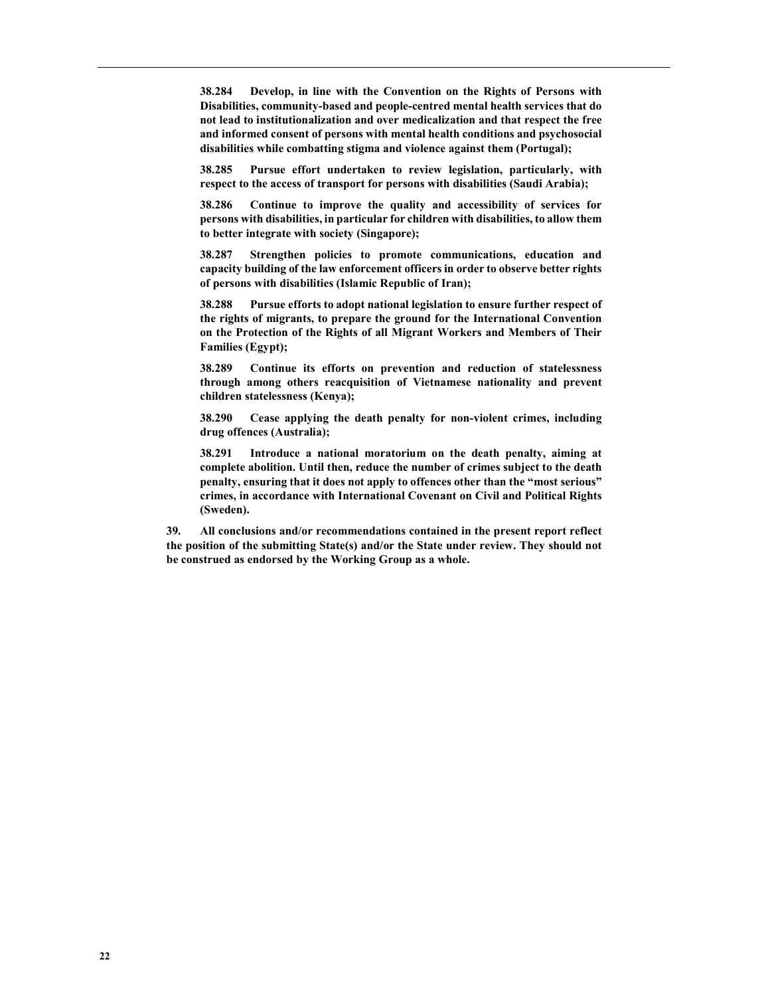38.284 Develop, in line with the Convention on the Rights of Persons with Disabilities, community-based and people-centred mental health services that do not lead to institutionalization and over medicalization and that respect the free and informed consent of persons with mental health conditions and psychosocial disabilities while combatting stigma and violence against them (Portugal);

38.285 Pursue effort undertaken to review legislation, particularly, with respect to the access of transport for persons with disabilities (Saudi Arabia);

38.286 Continue to improve the quality and accessibility of services for persons with disabilities, in particular for children with disabilities, to allow them to better integrate with society (Singapore);

38.287 Strengthen policies to promote communications, education and capacity building of the law enforcement officers in order to observe better rights of persons with disabilities (Islamic Republic of Iran);

38.288 Pursue efforts to adopt national legislation to ensure further respect of the rights of migrants, to prepare the ground for the International Convention on the Protection of the Rights of all Migrant Workers and Members of Their Families (Egypt);

38.289 Continue its efforts on prevention and reduction of statelessness through among others reacquisition of Vietnamese nationality and prevent children statelessness (Kenya);

38.290 Cease applying the death penalty for non-violent crimes, including drug offences (Australia);

38.291 Introduce a national moratorium on the death penalty, aiming at complete abolition. Until then, reduce the number of crimes subject to the death penalty, ensuring that it does not apply to offences other than the "most serious" crimes, in accordance with International Covenant on Civil and Political Rights (Sweden).

39. All conclusions and/or recommendations contained in the present report reflect the position of the submitting State(s) and/or the State under review. They should not be construed as endorsed by the Working Group as a whole.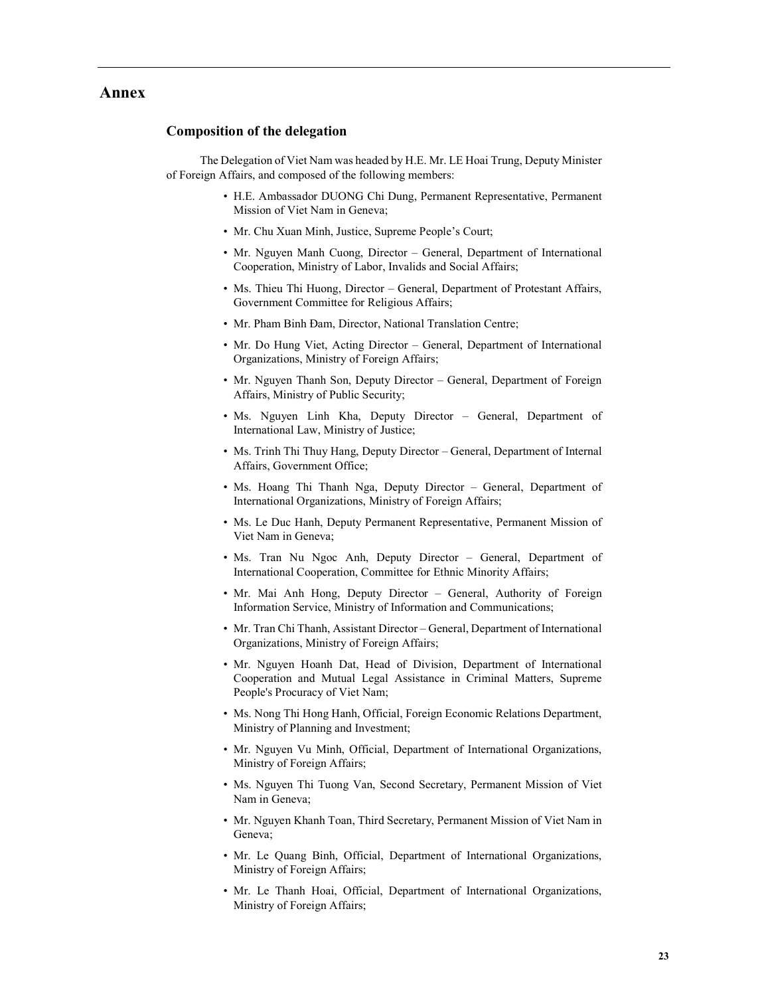### Annex

#### Composition of the delegation

The Delegation of Viet Nam was headed by H.E. Mr. LE Hoai Trung, Deputy Minister of Foreign Affairs, and composed of the following members:

- H.E. Ambassador DUONG Chi Dung, Permanent Representative, Permanent Mission of Viet Nam in Geneva;
- Mr. Chu Xuan Minh, Justice, Supreme People's Court;
- Mr. Nguyen Manh Cuong, Director General, Department of International Cooperation, Ministry of Labor, Invalids and Social Affairs;
- Ms. Thieu Thi Huong, Director General, Department of Protestant Affairs, Government Committee for Religious Affairs;
- Mr. Pham Binh Đam, Director, National Translation Centre;
- Mr. Do Hung Viet, Acting Director General, Department of International Organizations, Ministry of Foreign Affairs;
- Mr. Nguyen Thanh Son, Deputy Director General, Department of Foreign Affairs, Ministry of Public Security;
- Ms. Nguyen Linh Kha, Deputy Director General, Department of International Law, Ministry of Justice;
- Ms. Trinh Thi Thuy Hang, Deputy Director General, Department of Internal Affairs, Government Office;
- Ms. Hoang Thi Thanh Nga, Deputy Director General, Department of International Organizations, Ministry of Foreign Affairs;
- Ms. Le Duc Hanh, Deputy Permanent Representative, Permanent Mission of Viet Nam in Geneva;
- Ms. Tran Nu Ngoc Anh, Deputy Director General, Department of International Cooperation, Committee for Ethnic Minority Affairs;
- Mr. Mai Anh Hong, Deputy Director General, Authority of Foreign Information Service, Ministry of Information and Communications;
- Mr. Tran Chi Thanh, Assistant Director General, Department of International Organizations, Ministry of Foreign Affairs;
- Mr. Nguyen Hoanh Dat, Head of Division, Department of International Cooperation and Mutual Legal Assistance in Criminal Matters, Supreme People's Procuracy of Viet Nam;
- Ms. Nong Thi Hong Hanh, Official, Foreign Economic Relations Department, Ministry of Planning and Investment;
- Mr. Nguyen Vu Minh, Official, Department of International Organizations, Ministry of Foreign Affairs;
- Ms. Nguyen Thi Tuong Van, Second Secretary, Permanent Mission of Viet Nam in Geneva;
- Mr. Nguyen Khanh Toan, Third Secretary, Permanent Mission of Viet Nam in Geneva;
- Mr. Le Quang Binh, Official, Department of International Organizations, Ministry of Foreign Affairs;
- Mr. Le Thanh Hoai, Official, Department of International Organizations, Ministry of Foreign Affairs;